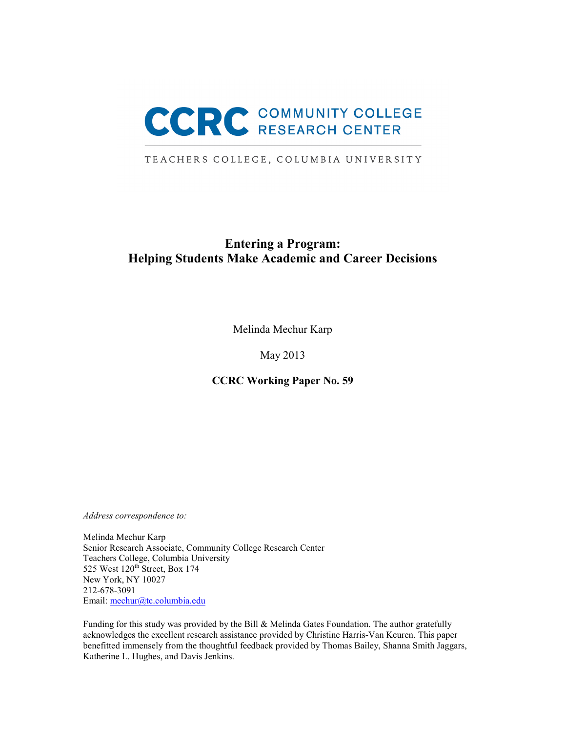

TEACHERS COLLEGE, COLUMBIA UNIVERSITY

# **Entering a Program: Helping Students Make Academic and Career Decisions**

Melinda Mechur Karp

May 2013

**CCRC Working Paper No. 59** 

*Address correspondence to:*

Melinda Mechur Karp Senior Research Associate, Community College Research Center Teachers College, Columbia University 525 West 120<sup>th</sup> Street, Box 174 New York, NY 10027 212-678-3091 Email: [mechur@tc.columbia.edu](mailto:mechur@tc.columbia.edu)

Funding for this study was provided by the Bill & Melinda Gates Foundation. The author gratefully acknowledges the excellent research assistance provided by Christine Harris-Van Keuren. This paper benefitted immensely from the thoughtful feedback provided by Thomas Bailey, Shanna Smith Jaggars, Katherine L. Hughes, and Davis Jenkins.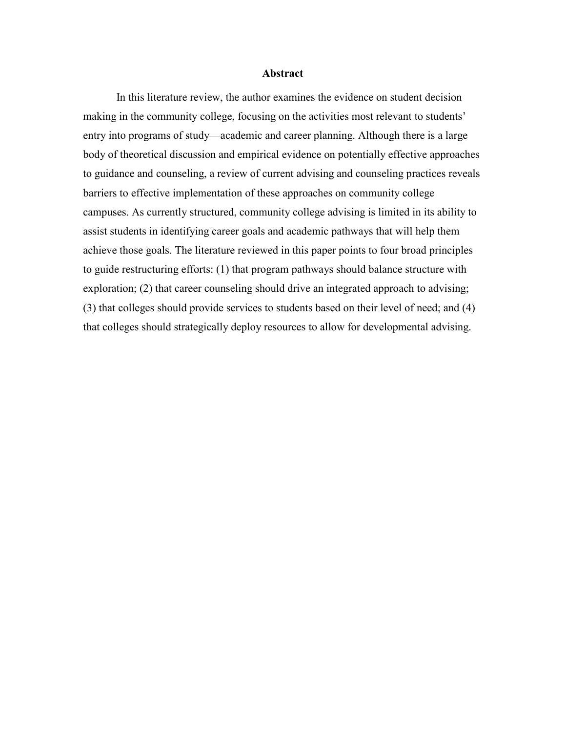#### **Abstract**

In this literature review, the author examines the evidence on student decision making in the community college, focusing on the activities most relevant to students' entry into programs of study—academic and career planning. Although there is a large body of theoretical discussion and empirical evidence on potentially effective approaches to guidance and counseling, a review of current advising and counseling practices reveals barriers to effective implementation of these approaches on community college campuses. As currently structured, community college advising is limited in its ability to assist students in identifying career goals and academic pathways that will help them achieve those goals. The literature reviewed in this paper points to four broad principles to guide restructuring efforts: (1) that program pathways should balance structure with exploration; (2) that career counseling should drive an integrated approach to advising; (3) that colleges should provide services to students based on their level of need; and (4) that colleges should strategically deploy resources to allow for developmental advising.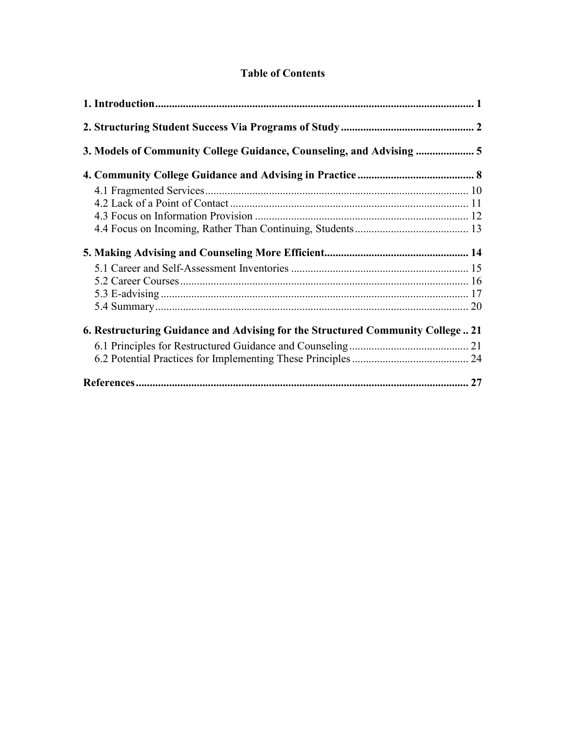## **Table of Contents**

| 3. Models of Community College Guidance, Counseling, and Advising              |  |
|--------------------------------------------------------------------------------|--|
|                                                                                |  |
|                                                                                |  |
|                                                                                |  |
|                                                                                |  |
|                                                                                |  |
|                                                                                |  |
|                                                                                |  |
|                                                                                |  |
|                                                                                |  |
|                                                                                |  |
| 6. Restructuring Guidance and Advising for the Structured Community College 21 |  |
|                                                                                |  |
|                                                                                |  |
|                                                                                |  |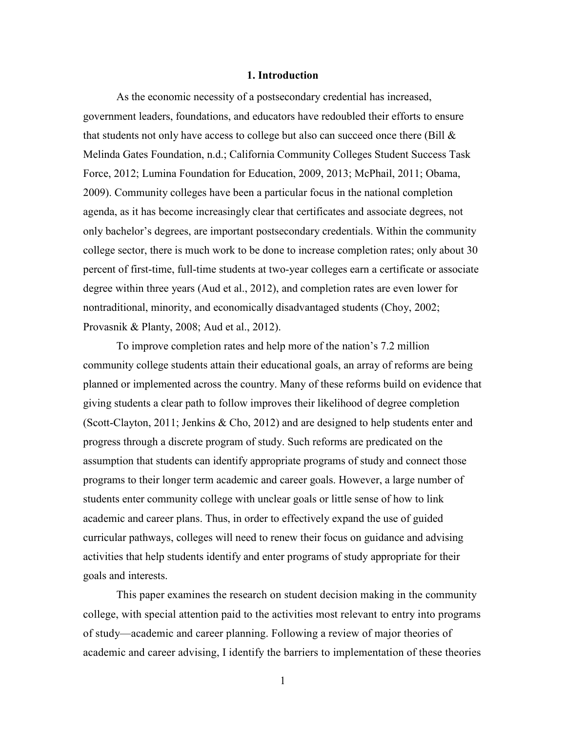#### **1. Introduction**

<span id="page-4-0"></span>As the economic necessity of a postsecondary credential has increased, government leaders, foundations, and educators have redoubled their efforts to ensure that students not only have access to college but also can succeed once there (Bill & Melinda Gates Foundation, n.d.; California Community Colleges Student Success Task Force, 2012; Lumina Foundation for Education, 2009, 2013; McPhail, 2011; Obama, 2009). Community colleges have been a particular focus in the national completion agenda, as it has become increasingly clear that certificates and associate degrees, not only bachelor's degrees, are important postsecondary credentials. Within the community college sector, there is much work to be done to increase completion rates; only about 30 percent of first-time, full-time students at two-year colleges earn a certificate or associate degree within three years (Aud et al., 2012), and completion rates are even lower for nontraditional, minority, and economically disadvantaged students (Choy, 2002; Provasnik & Planty, 2008; Aud et al., 2012).

To improve completion rates and help more of the nation's 7.2 million community college students attain their educational goals, an array of reforms are being planned or implemented across the country. Many of these reforms build on evidence that giving students a clear path to follow improves their likelihood of degree completion (Scott-Clayton, 2011; Jenkins & Cho, 2012) and are designed to help students enter and progress through a discrete program of study. Such reforms are predicated on the assumption that students can identify appropriate programs of study and connect those programs to their longer term academic and career goals. However, a large number of students enter community college with unclear goals or little sense of how to link academic and career plans. Thus, in order to effectively expand the use of guided curricular pathways, colleges will need to renew their focus on guidance and advising activities that help students identify and enter programs of study appropriate for their goals and interests.

This paper examines the research on student decision making in the community college, with special attention paid to the activities most relevant to entry into programs of study—academic and career planning. Following a review of major theories of academic and career advising, I identify the barriers to implementation of these theories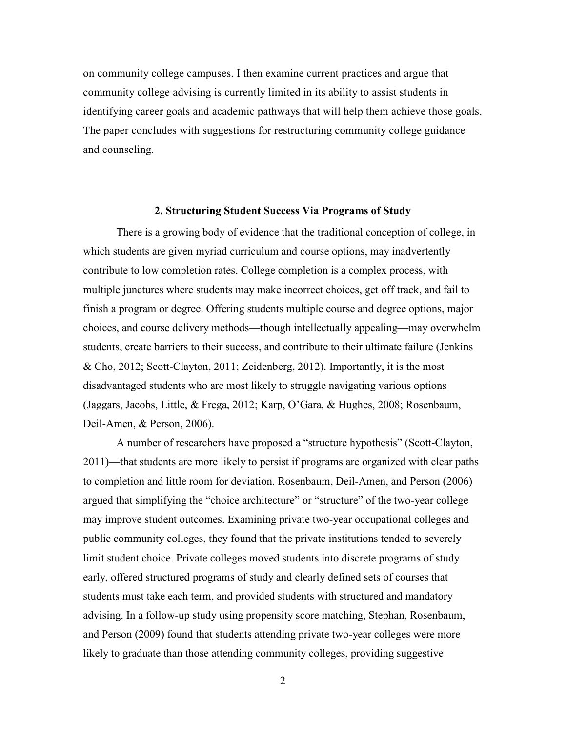on community college campuses. I then examine current practices and argue that community college advising is currently limited in its ability to assist students in identifying career goals and academic pathways that will help them achieve those goals. The paper concludes with suggestions for restructuring community college guidance and counseling.

#### **2. Structuring Student Success Via Programs of Study**

<span id="page-5-0"></span>There is a growing body of evidence that the traditional conception of college, in which students are given myriad curriculum and course options, may inadvertently contribute to low completion rates. College completion is a complex process, with multiple junctures where students may make incorrect choices, get off track, and fail to finish a program or degree. Offering students multiple course and degree options, major choices, and course delivery methods—though intellectually appealing—may overwhelm students, create barriers to their success, and contribute to their ultimate failure (Jenkins & Cho, 2012; Scott-Clayton, 2011; Zeidenberg, 2012). Importantly, it is the most disadvantaged students who are most likely to struggle navigating various options (Jaggars, Jacobs, Little, & Frega, 2012; Karp, O'Gara, & Hughes, 2008; Rosenbaum, Deil-Amen, & Person, 2006).

A number of researchers have proposed a "structure hypothesis" (Scott-Clayton, 2011)—that students are more likely to persist if programs are organized with clear paths to completion and little room for deviation. Rosenbaum, Deil-Amen, and Person (2006) argued that simplifying the "choice architecture" or "structure" of the two-year college may improve student outcomes. Examining private two-year occupational colleges and public community colleges, they found that the private institutions tended to severely limit student choice. Private colleges moved students into discrete programs of study early, offered structured programs of study and clearly defined sets of courses that students must take each term, and provided students with structured and mandatory advising. In a follow-up study using propensity score matching, Stephan, Rosenbaum, and Person (2009) found that students attending private two-year colleges were more likely to graduate than those attending community colleges, providing suggestive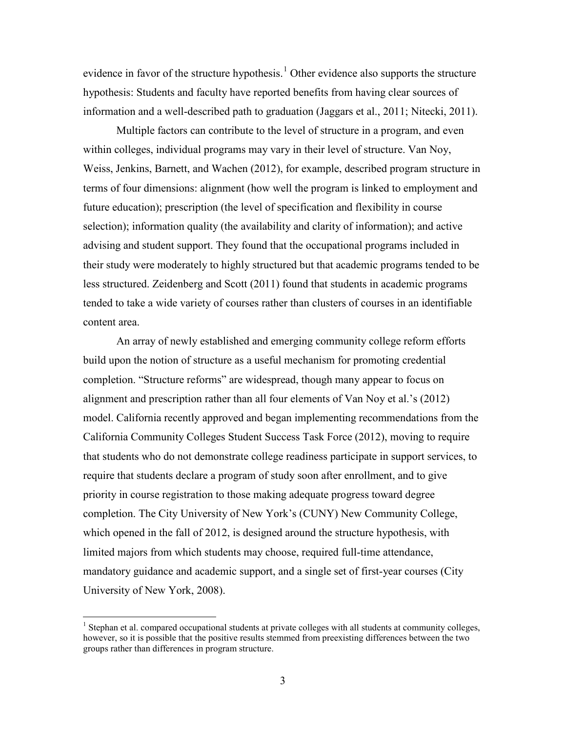evidence in favor of the structure hypothesis.<sup>[1](#page-6-0)</sup> Other evidence also supports the structure hypothesis: Students and faculty have reported benefits from having clear sources of information and a well-described path to graduation (Jaggars et al., 2011; Nitecki, 2011).

Multiple factors can contribute to the level of structure in a program, and even within colleges, individual programs may vary in their level of structure. Van Noy, Weiss, Jenkins, Barnett, and Wachen (2012), for example, described program structure in terms of four dimensions: alignment (how well the program is linked to employment and future education); prescription (the level of specification and flexibility in course selection); information quality (the availability and clarity of information); and active advising and student support. They found that the occupational programs included in their study were moderately to highly structured but that academic programs tended to be less structured. Zeidenberg and Scott (2011) found that students in academic programs tended to take a wide variety of courses rather than clusters of courses in an identifiable content area.

An array of newly established and emerging community college reform efforts build upon the notion of structure as a useful mechanism for promoting credential completion. "Structure reforms" are widespread, though many appear to focus on alignment and prescription rather than all four elements of Van Noy et al.'s (2012) model. California recently approved and began implementing recommendations from the California Community Colleges Student Success Task Force (2012), moving to require that students who do not demonstrate college readiness participate in support services, to require that students declare a program of study soon after enrollment, and to give priority in course registration to those making adequate progress toward degree completion. The City University of New York's (CUNY) New Community College, which opened in the fall of 2012, is designed around the structure hypothesis, with limited majors from which students may choose, required full-time attendance, mandatory guidance and academic support, and a single set of first-year courses (City University of New York, 2008).

<span id="page-6-0"></span><sup>&</sup>lt;sup>1</sup> Stephan et al. compared occupational students at private colleges with all students at community colleges, however, so it is possible that the positive results stemmed from preexisting differences between the two groups rather than differences in program structure.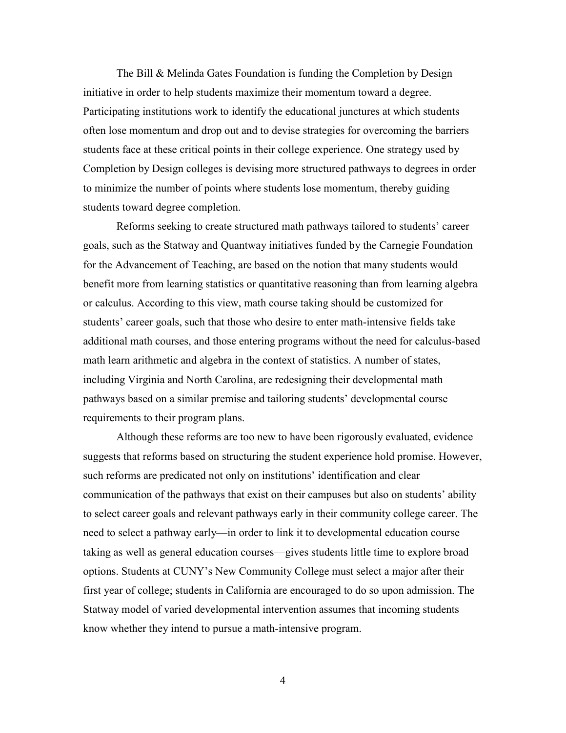The Bill & Melinda Gates Foundation is funding the Completion by Design initiative in order to help students maximize their momentum toward a degree. Participating institutions work to identify the educational junctures at which students often lose momentum and drop out and to devise strategies for overcoming the barriers students face at these critical points in their college experience. One strategy used by Completion by Design colleges is devising more structured pathways to degrees in order to minimize the number of points where students lose momentum, thereby guiding students toward degree completion.

Reforms seeking to create structured math pathways tailored to students' career goals, such as the Statway and Quantway initiatives funded by the Carnegie Foundation for the Advancement of Teaching, are based on the notion that many students would benefit more from learning statistics or quantitative reasoning than from learning algebra or calculus. According to this view, math course taking should be customized for students' career goals, such that those who desire to enter math-intensive fields take additional math courses, and those entering programs without the need for calculus-based math learn arithmetic and algebra in the context of statistics. A number of states, including Virginia and North Carolina, are redesigning their developmental math pathways based on a similar premise and tailoring students' developmental course requirements to their program plans.

Although these reforms are too new to have been rigorously evaluated, evidence suggests that reforms based on structuring the student experience hold promise. However, such reforms are predicated not only on institutions' identification and clear communication of the pathways that exist on their campuses but also on students' ability to select career goals and relevant pathways early in their community college career. The need to select a pathway early—in order to link it to developmental education course taking as well as general education courses—gives students little time to explore broad options. Students at CUNY's New Community College must select a major after their first year of college; students in California are encouraged to do so upon admission. The Statway model of varied developmental intervention assumes that incoming students know whether they intend to pursue a math-intensive program.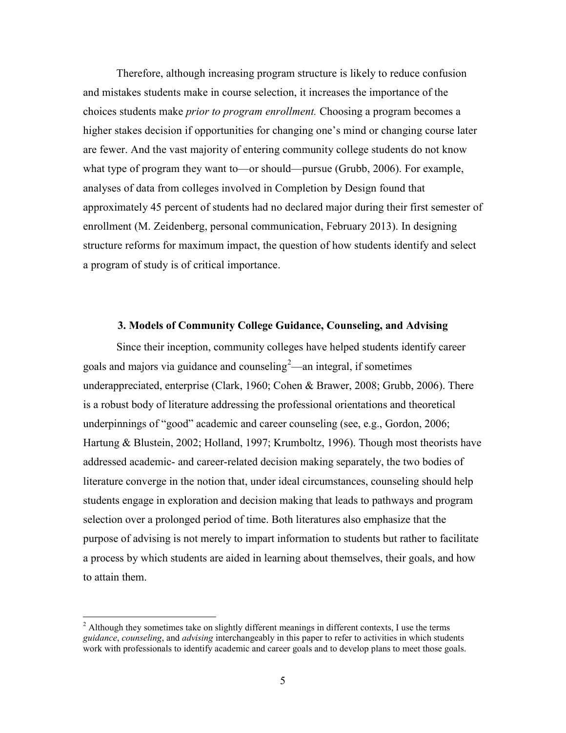Therefore, although increasing program structure is likely to reduce confusion and mistakes students make in course selection, it increases the importance of the choices students make *prior to program enrollment.* Choosing a program becomes a higher stakes decision if opportunities for changing one's mind or changing course later are fewer. And the vast majority of entering community college students do not know what type of program they want to—or should—pursue (Grubb, 2006). For example, analyses of data from colleges involved in Completion by Design found that approximately 45 percent of students had no declared major during their first semester of enrollment (M. Zeidenberg, personal communication, February 2013). In designing structure reforms for maximum impact, the question of how students identify and select a program of study is of critical importance.

#### **3. Models of Community College Guidance, Counseling, and Advising**

<span id="page-8-0"></span>Since their inception, community colleges have helped students identify career goals and majors via guidance and counseling $<sup>2</sup>$  $<sup>2</sup>$  $<sup>2</sup>$ —an integral, if sometimes</sup> underappreciated, enterprise (Clark, 1960; Cohen & Brawer, 2008; Grubb, 2006). There is a robust body of literature addressing the professional orientations and theoretical underpinnings of "good" academic and career counseling (see, e.g., Gordon, 2006; Hartung & Blustein, 2002; Holland, 1997; Krumboltz, 1996). Though most theorists have addressed academic- and career-related decision making separately, the two bodies of literature converge in the notion that, under ideal circumstances, counseling should help students engage in exploration and decision making that leads to pathways and program selection over a prolonged period of time. Both literatures also emphasize that the purpose of advising is not merely to impart information to students but rather to facilitate a process by which students are aided in learning about themselves, their goals, and how to attain them.

<span id="page-8-1"></span> $2$  Although they sometimes take on slightly different meanings in different contexts, I use the terms *guidance*, *counseling*, and *advising* interchangeably in this paper to refer to activities in which students work with professionals to identify academic and career goals and to develop plans to meet those goals.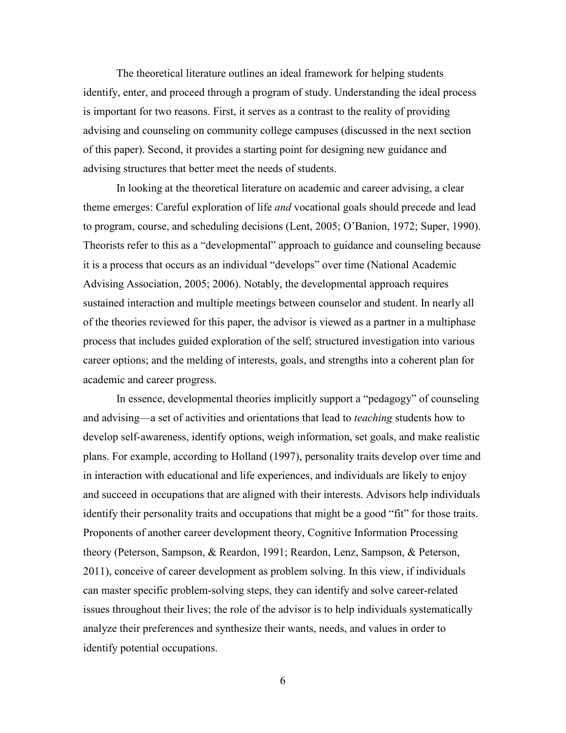The theoretical literature outlines an ideal framework for helping students identify, enter, and proceed through a program of study. Understanding the ideal process is important for two reasons. First, it serves as a contrast to the reality of providing advising and counseling on community college campuses (discussed in the next section of this paper). Second, it provides a starting point for designing new guidance and advising structures that better meet the needs of students.

In looking at the theoretical literature on academic and career advising, a clear theme emerges: Careful exploration of life *and* vocational goals should precede and lead to program, course, and scheduling decisions (Lent, 2005; O'Banion, 1972; Super, 1990). Theorists refer to this as a "developmental" approach to guidance and counseling because it is a process that occurs as an individual "develops" over time (National Academic Advising Association, 2005; 2006). Notably, the developmental approach requires sustained interaction and multiple meetings between counselor and student. In nearly all of the theories reviewed for this paper, the advisor is viewed as a partner in a multiphase process that includes guided exploration of the self; structured investigation into various career options; and the melding of interests, goals, and strengths into a coherent plan for academic and career progress.

In essence, developmental theories implicitly support a "pedagogy" of counseling and advising—a set of activities and orientations that lead to *teaching* students how to develop self-awareness, identify options, weigh information, set goals, and make realistic plans. For example, according to Holland (1997), personality traits develop over time and in interaction with educational and life experiences, and individuals are likely to enjoy and succeed in occupations that are aligned with their interests. Advisors help individuals identify their personality traits and occupations that might be a good "fit" for those traits. Proponents of another career development theory, Cognitive Information Processing theory (Peterson, Sampson, & Reardon, 1991; Reardon, Lenz, Sampson, & Peterson, 2011), conceive of career development as problem solving. In this view, if individuals can master specific problem-solving steps, they can identify and solve career-related issues throughout their lives; the role of the advisor is to help individuals systematically analyze their preferences and synthesize their wants, needs, and values in order to identify potential occupations.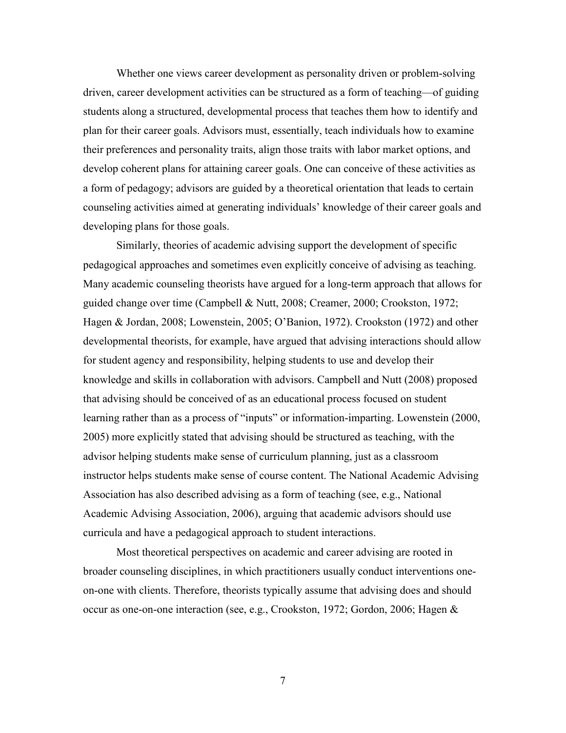Whether one views career development as personality driven or problem-solving driven, career development activities can be structured as a form of teaching—of guiding students along a structured, developmental process that teaches them how to identify and plan for their career goals. Advisors must, essentially, teach individuals how to examine their preferences and personality traits, align those traits with labor market options, and develop coherent plans for attaining career goals. One can conceive of these activities as a form of pedagogy; advisors are guided by a theoretical orientation that leads to certain counseling activities aimed at generating individuals' knowledge of their career goals and developing plans for those goals.

Similarly, theories of academic advising support the development of specific pedagogical approaches and sometimes even explicitly conceive of advising as teaching. Many academic counseling theorists have argued for a long-term approach that allows for guided change over time (Campbell & Nutt, 2008; Creamer, 2000; Crookston, 1972; Hagen & Jordan, 2008; Lowenstein, 2005; O'Banion, 1972). Crookston (1972) and other developmental theorists, for example, have argued that advising interactions should allow for student agency and responsibility, helping students to use and develop their knowledge and skills in collaboration with advisors. Campbell and Nutt (2008) proposed that advising should be conceived of as an educational process focused on student learning rather than as a process of "inputs" or information-imparting. Lowenstein (2000, 2005) more explicitly stated that advising should be structured as teaching, with the advisor helping students make sense of curriculum planning, just as a classroom instructor helps students make sense of course content. The National Academic Advising Association has also described advising as a form of teaching (see, e.g., National Academic Advising Association, 2006), arguing that academic advisors should use curricula and have a pedagogical approach to student interactions.

Most theoretical perspectives on academic and career advising are rooted in broader counseling disciplines, in which practitioners usually conduct interventions oneon-one with clients. Therefore, theorists typically assume that advising does and should occur as one-on-one interaction (see, e.g., Crookston, 1972; Gordon, 2006; Hagen &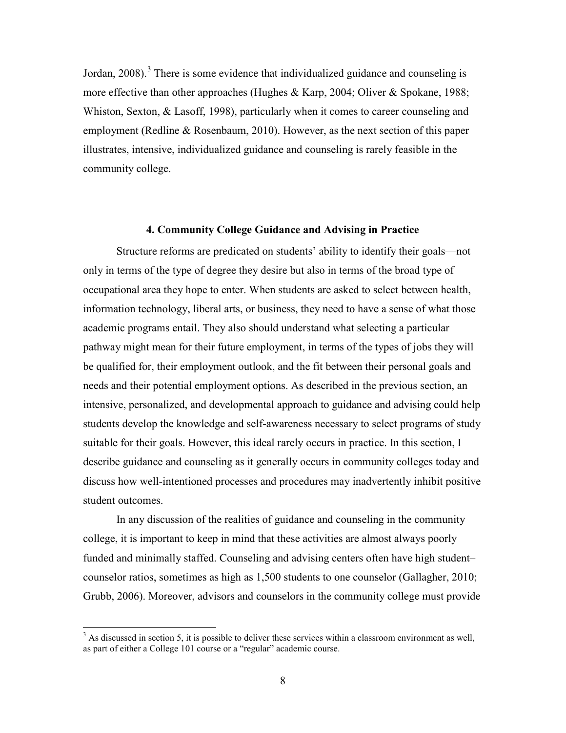Jordan, 2008). [3](#page-11-1) There is some evidence that individualized guidance and counseling is more effective than other approaches (Hughes & Karp, 2004; Oliver & Spokane, 1988; Whiston, Sexton, & Lasoff, 1998), particularly when it comes to career counseling and employment (Redline & Rosenbaum, 2010). However, as the next section of this paper illustrates, intensive, individualized guidance and counseling is rarely feasible in the community college.

#### **4. Community College Guidance and Advising in Practice**

<span id="page-11-0"></span>Structure reforms are predicated on students' ability to identify their goals—not only in terms of the type of degree they desire but also in terms of the broad type of occupational area they hope to enter. When students are asked to select between health, information technology, liberal arts, or business, they need to have a sense of what those academic programs entail. They also should understand what selecting a particular pathway might mean for their future employment, in terms of the types of jobs they will be qualified for, their employment outlook, and the fit between their personal goals and needs and their potential employment options. As described in the previous section, an intensive, personalized, and developmental approach to guidance and advising could help students develop the knowledge and self-awareness necessary to select programs of study suitable for their goals. However, this ideal rarely occurs in practice. In this section, I describe guidance and counseling as it generally occurs in community colleges today and discuss how well-intentioned processes and procedures may inadvertently inhibit positive student outcomes.

In any discussion of the realities of guidance and counseling in the community college, it is important to keep in mind that these activities are almost always poorly funded and minimally staffed. Counseling and advising centers often have high student– counselor ratios, sometimes as high as 1,500 students to one counselor (Gallagher, 2010; Grubb, 2006). Moreover, advisors and counselors in the community college must provide

<span id="page-11-1"></span> $3$  As discussed in section 5, it is possible to deliver these services within a classroom environment as well, as part of either a College 101 course or a "regular" academic course.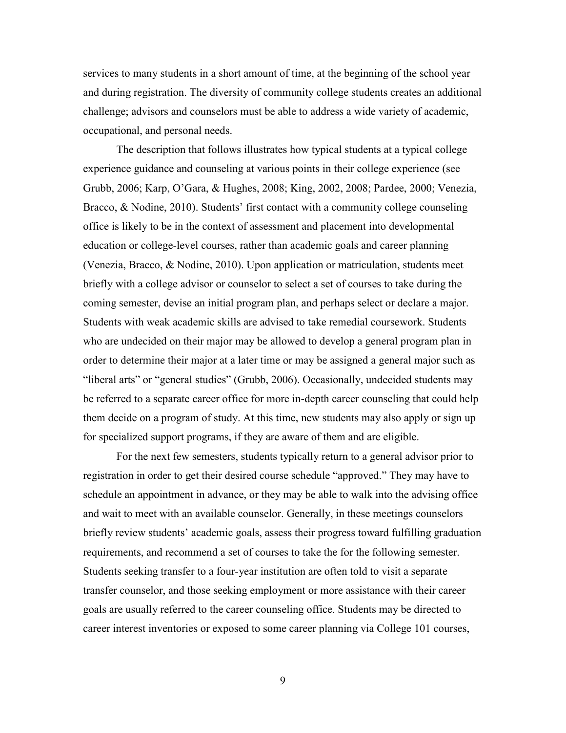services to many students in a short amount of time, at the beginning of the school year and during registration. The diversity of community college students creates an additional challenge; advisors and counselors must be able to address a wide variety of academic, occupational, and personal needs.

The description that follows illustrates how typical students at a typical college experience guidance and counseling at various points in their college experience (see Grubb, 2006; Karp, O'Gara, & Hughes, 2008; King, 2002, 2008; Pardee, 2000; Venezia, Bracco, & Nodine, 2010). Students' first contact with a community college counseling office is likely to be in the context of assessment and placement into developmental education or college-level courses, rather than academic goals and career planning (Venezia, Bracco, & Nodine, 2010). Upon application or matriculation, students meet briefly with a college advisor or counselor to select a set of courses to take during the coming semester, devise an initial program plan, and perhaps select or declare a major. Students with weak academic skills are advised to take remedial coursework. Students who are undecided on their major may be allowed to develop a general program plan in order to determine their major at a later time or may be assigned a general major such as "liberal arts" or "general studies" (Grubb, 2006). Occasionally, undecided students may be referred to a separate career office for more in-depth career counseling that could help them decide on a program of study. At this time, new students may also apply or sign up for specialized support programs, if they are aware of them and are eligible.

For the next few semesters, students typically return to a general advisor prior to registration in order to get their desired course schedule "approved." They may have to schedule an appointment in advance, or they may be able to walk into the advising office and wait to meet with an available counselor. Generally, in these meetings counselors briefly review students' academic goals, assess their progress toward fulfilling graduation requirements, and recommend a set of courses to take the for the following semester. Students seeking transfer to a four-year institution are often told to visit a separate transfer counselor, and those seeking employment or more assistance with their career goals are usually referred to the career counseling office. Students may be directed to career interest inventories or exposed to some career planning via College 101 courses,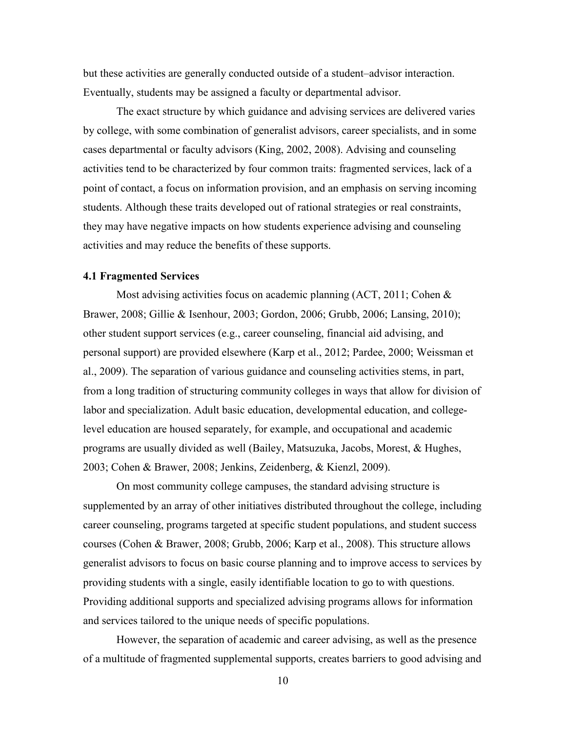but these activities are generally conducted outside of a student–advisor interaction. Eventually, students may be assigned a faculty or departmental advisor.

The exact structure by which guidance and advising services are delivered varies by college, with some combination of generalist advisors, career specialists, and in some cases departmental or faculty advisors (King, 2002, 2008). Advising and counseling activities tend to be characterized by four common traits: fragmented services, lack of a point of contact, a focus on information provision, and an emphasis on serving incoming students. Although these traits developed out of rational strategies or real constraints, they may have negative impacts on how students experience advising and counseling activities and may reduce the benefits of these supports.

### <span id="page-13-0"></span>**4.1 Fragmented Services**

Most advising activities focus on academic planning (ACT, 2011; Cohen & Brawer, 2008; Gillie & Isenhour, 2003; Gordon, 2006; Grubb, 2006; Lansing, 2010); other student support services (e.g., career counseling, financial aid advising, and personal support) are provided elsewhere (Karp et al., 2012; Pardee, 2000; Weissman et al., 2009). The separation of various guidance and counseling activities stems, in part, from a long tradition of structuring community colleges in ways that allow for division of labor and specialization. Adult basic education, developmental education, and collegelevel education are housed separately, for example, and occupational and academic programs are usually divided as well (Bailey, Matsuzuka, Jacobs, Morest, & Hughes, 2003; Cohen & Brawer, 2008; Jenkins, Zeidenberg, & Kienzl, 2009).

On most community college campuses, the standard advising structure is supplemented by an array of other initiatives distributed throughout the college, including career counseling, programs targeted at specific student populations, and student success courses (Cohen & Brawer, 2008; Grubb, 2006; Karp et al., 2008). This structure allows generalist advisors to focus on basic course planning and to improve access to services by providing students with a single, easily identifiable location to go to with questions. Providing additional supports and specialized advising programs allows for information and services tailored to the unique needs of specific populations.

However, the separation of academic and career advising, as well as the presence of a multitude of fragmented supplemental supports, creates barriers to good advising and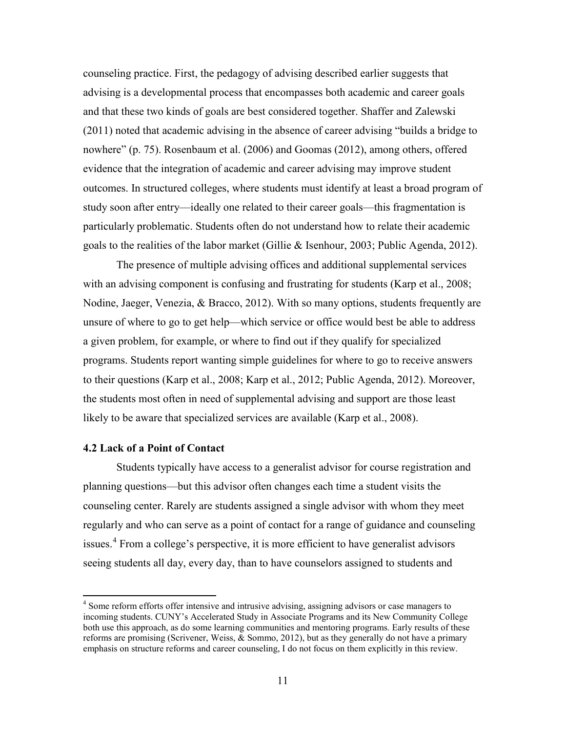counseling practice. First, the pedagogy of advising described earlier suggests that advising is a developmental process that encompasses both academic and career goals and that these two kinds of goals are best considered together. Shaffer and Zalewski (2011) noted that academic advising in the absence of career advising "builds a bridge to nowhere" (p. 75). Rosenbaum et al. (2006) and Goomas (2012), among others, offered evidence that the integration of academic and career advising may improve student outcomes. In structured colleges, where students must identify at least a broad program of study soon after entry—ideally one related to their career goals—this fragmentation is particularly problematic. Students often do not understand how to relate their academic goals to the realities of the labor market (Gillie & Isenhour, 2003; Public Agenda, 2012).

The presence of multiple advising offices and additional supplemental services with an advising component is confusing and frustrating for students (Karp et al., 2008; Nodine, Jaeger, Venezia, & Bracco, 2012). With so many options, students frequently are unsure of where to go to get help—which service or office would best be able to address a given problem, for example, or where to find out if they qualify for specialized programs. Students report wanting simple guidelines for where to go to receive answers to their questions (Karp et al., 2008; Karp et al., 2012; Public Agenda, 2012). Moreover, the students most often in need of supplemental advising and support are those least likely to be aware that specialized services are available (Karp et al., 2008).

#### <span id="page-14-0"></span>**4.2 Lack of a Point of Contact**

Students typically have access to a generalist advisor for course registration and planning questions—but this advisor often changes each time a student visits the counseling center. Rarely are students assigned a single advisor with whom they meet regularly and who can serve as a point of contact for a range of guidance and counseling issues.<sup>[4](#page-14-1)</sup> From a college's perspective, it is more efficient to have generalist advisors seeing students all day, every day, than to have counselors assigned to students and

<span id="page-14-1"></span><sup>&</sup>lt;sup>4</sup> Some reform efforts offer intensive and intrusive advising, assigning advisors or case managers to incoming students. CUNY's Accelerated Study in Associate Programs and its New Community College both use this approach, as do some learning communities and mentoring programs. Early results of these reforms are promising (Scrivener, Weiss,  $\&$  Sommo, 2012), but as they generally do not have a primary emphasis on structure reforms and career counseling, I do not focus on them explicitly in this review.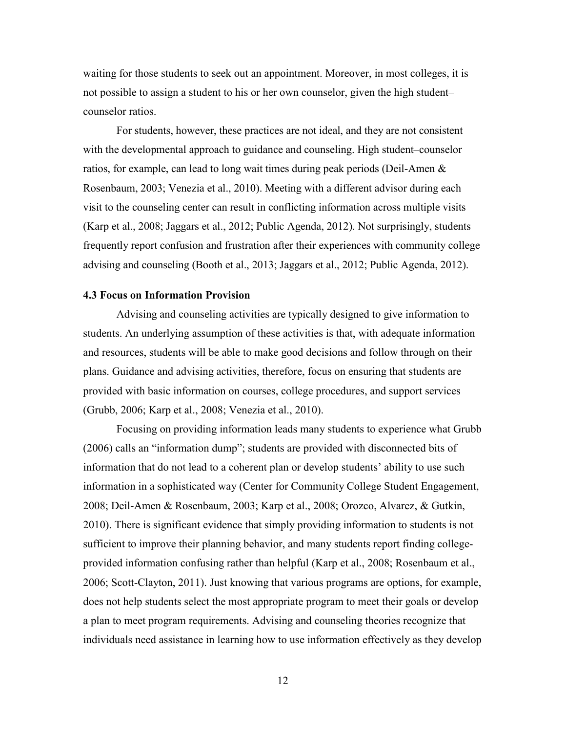waiting for those students to seek out an appointment. Moreover, in most colleges, it is not possible to assign a student to his or her own counselor, given the high student– counselor ratios.

For students, however, these practices are not ideal, and they are not consistent with the developmental approach to guidance and counseling. High student–counselor ratios, for example, can lead to long wait times during peak periods (Deil-Amen  $\&$ Rosenbaum, 2003; Venezia et al., 2010). Meeting with a different advisor during each visit to the counseling center can result in conflicting information across multiple visits (Karp et al., 2008; Jaggars et al., 2012; Public Agenda, 2012). Not surprisingly, students frequently report confusion and frustration after their experiences with community college advising and counseling (Booth et al., 2013; Jaggars et al., 2012; Public Agenda, 2012).

#### <span id="page-15-0"></span>**4.3 Focus on Information Provision**

Advising and counseling activities are typically designed to give information to students. An underlying assumption of these activities is that, with adequate information and resources, students will be able to make good decisions and follow through on their plans. Guidance and advising activities, therefore, focus on ensuring that students are provided with basic information on courses, college procedures, and support services (Grubb, 2006; Karp et al., 2008; Venezia et al., 2010).

Focusing on providing information leads many students to experience what Grubb (2006) calls an "information dump"; students are provided with disconnected bits of information that do not lead to a coherent plan or develop students' ability to use such information in a sophisticated way (Center for Community College Student Engagement, 2008; Deil-Amen & Rosenbaum, 2003; Karp et al., 2008; Orozco, Alvarez, & Gutkin, 2010). There is significant evidence that simply providing information to students is not sufficient to improve their planning behavior, and many students report finding collegeprovided information confusing rather than helpful (Karp et al., 2008; Rosenbaum et al., 2006; Scott-Clayton, 2011). Just knowing that various programs are options, for example, does not help students select the most appropriate program to meet their goals or develop a plan to meet program requirements. Advising and counseling theories recognize that individuals need assistance in learning how to use information effectively as they develop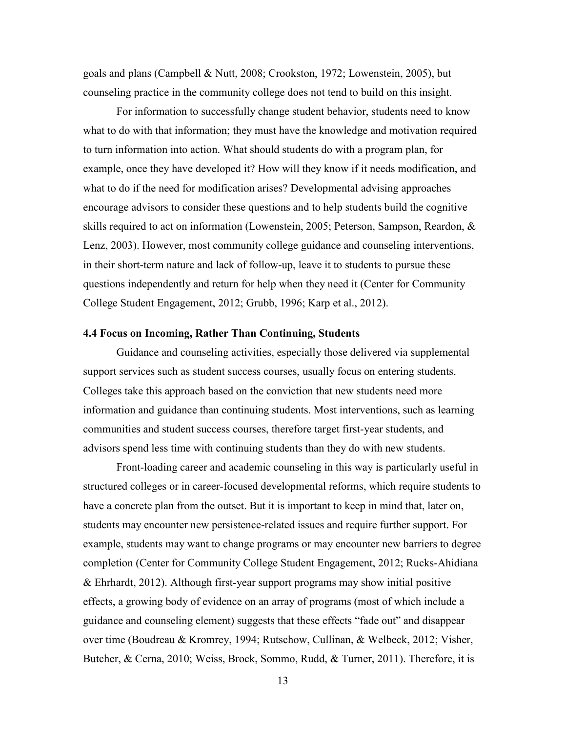goals and plans (Campbell & Nutt, 2008; Crookston, 1972; Lowenstein, 2005), but counseling practice in the community college does not tend to build on this insight.

For information to successfully change student behavior, students need to know what to do with that information; they must have the knowledge and motivation required to turn information into action. What should students do with a program plan, for example, once they have developed it? How will they know if it needs modification, and what to do if the need for modification arises? Developmental advising approaches encourage advisors to consider these questions and to help students build the cognitive skills required to act on information (Lowenstein, 2005; Peterson, Sampson, Reardon, & Lenz, 2003). However, most community college guidance and counseling interventions, in their short-term nature and lack of follow-up, leave it to students to pursue these questions independently and return for help when they need it (Center for Community College Student Engagement, 2012; Grubb, 1996; Karp et al., 2012).

#### <span id="page-16-0"></span>**4.4 Focus on Incoming, Rather Than Continuing, Students**

Guidance and counseling activities, especially those delivered via supplemental support services such as student success courses, usually focus on entering students. Colleges take this approach based on the conviction that new students need more information and guidance than continuing students. Most interventions, such as learning communities and student success courses, therefore target first-year students, and advisors spend less time with continuing students than they do with new students.

Front-loading career and academic counseling in this way is particularly useful in structured colleges or in career-focused developmental reforms, which require students to have a concrete plan from the outset. But it is important to keep in mind that, later on, students may encounter new persistence-related issues and require further support. For example, students may want to change programs or may encounter new barriers to degree completion (Center for Community College Student Engagement, 2012; Rucks-Ahidiana & Ehrhardt, 2012). Although first-year support programs may show initial positive effects, a growing body of evidence on an array of programs (most of which include a guidance and counseling element) suggests that these effects "fade out" and disappear over time (Boudreau & Kromrey, 1994; Rutschow, Cullinan, & Welbeck, 2012; Visher, Butcher, & Cerna, 2010; Weiss, Brock, Sommo, Rudd, & Turner, 2011). Therefore, it is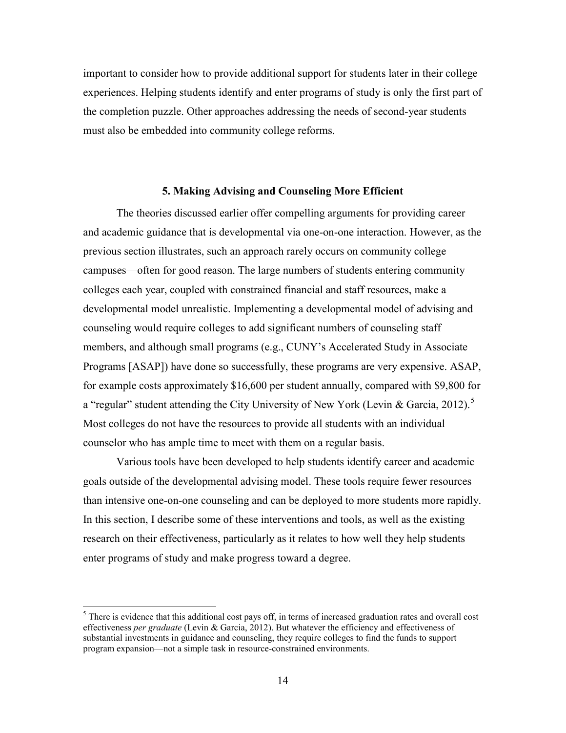important to consider how to provide additional support for students later in their college experiences. Helping students identify and enter programs of study is only the first part of the completion puzzle. Other approaches addressing the needs of second-year students must also be embedded into community college reforms.

#### **5. Making Advising and Counseling More Efficient**

<span id="page-17-0"></span>The theories discussed earlier offer compelling arguments for providing career and academic guidance that is developmental via one-on-one interaction. However, as the previous section illustrates, such an approach rarely occurs on community college campuses—often for good reason. The large numbers of students entering community colleges each year, coupled with constrained financial and staff resources, make a developmental model unrealistic. Implementing a developmental model of advising and counseling would require colleges to add significant numbers of counseling staff members, and although small programs (e.g., CUNY's Accelerated Study in Associate Programs [ASAP]) have done so successfully, these programs are very expensive. ASAP, for example costs approximately \$16,600 per student annually, compared with \$9,800 for a "regular" student attending the City University of New York (Levin & Garcia, 2012).<sup>[5](#page-17-1)</sup> Most colleges do not have the resources to provide all students with an individual counselor who has ample time to meet with them on a regular basis.

Various tools have been developed to help students identify career and academic goals outside of the developmental advising model. These tools require fewer resources than intensive one-on-one counseling and can be deployed to more students more rapidly. In this section, I describe some of these interventions and tools, as well as the existing research on their effectiveness, particularly as it relates to how well they help students enter programs of study and make progress toward a degree.

<span id="page-17-1"></span> $<sup>5</sup>$  There is evidence that this additional cost pays off, in terms of increased graduation rates and overall cost</sup> effectiveness *per graduate* (Levin & Garcia, 2012). But whatever the efficiency and effectiveness of substantial investments in guidance and counseling, they require colleges to find the funds to support program expansion—not a simple task in resource-constrained environments.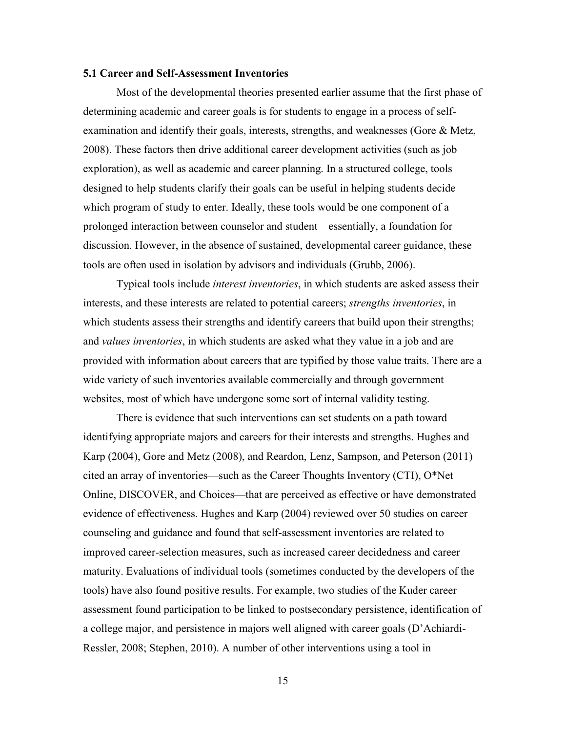#### <span id="page-18-0"></span>**5.1 Career and Self-Assessment Inventories**

Most of the developmental theories presented earlier assume that the first phase of determining academic and career goals is for students to engage in a process of selfexamination and identify their goals, interests, strengths, and weaknesses (Gore & Metz, 2008). These factors then drive additional career development activities (such as job exploration), as well as academic and career planning. In a structured college, tools designed to help students clarify their goals can be useful in helping students decide which program of study to enter. Ideally, these tools would be one component of a prolonged interaction between counselor and student—essentially, a foundation for discussion. However, in the absence of sustained, developmental career guidance, these tools are often used in isolation by advisors and individuals (Grubb, 2006).

Typical tools include *interest inventories*, in which students are asked assess their interests, and these interests are related to potential careers; *strengths inventories*, in which students assess their strengths and identify careers that build upon their strengths; and *values inventories*, in which students are asked what they value in a job and are provided with information about careers that are typified by those value traits. There are a wide variety of such inventories available commercially and through government websites, most of which have undergone some sort of internal validity testing.

There is evidence that such interventions can set students on a path toward identifying appropriate majors and careers for their interests and strengths. Hughes and Karp (2004), Gore and Metz (2008), and Reardon, Lenz, Sampson, and Peterson (2011) cited an array of inventories—such as the Career Thoughts Inventory (CTI), O\*Net Online, DISCOVER, and Choices—that are perceived as effective or have demonstrated evidence of effectiveness. Hughes and Karp (2004) reviewed over 50 studies on career counseling and guidance and found that self-assessment inventories are related to improved career-selection measures, such as increased career decidedness and career maturity. Evaluations of individual tools (sometimes conducted by the developers of the tools) have also found positive results. For example, two studies of the Kuder career assessment found participation to be linked to postsecondary persistence, identification of a college major, and persistence in majors well aligned with career goals (D'Achiardi-Ressler, 2008; Stephen, 2010). A number of other interventions using a tool in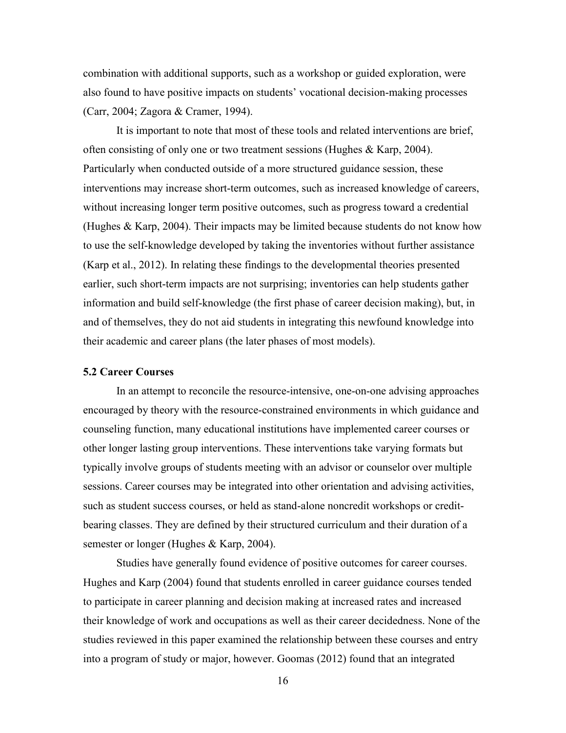combination with additional supports, such as a workshop or guided exploration, were also found to have positive impacts on students' vocational decision-making processes (Carr, 2004; Zagora & Cramer, 1994).

It is important to note that most of these tools and related interventions are brief, often consisting of only one or two treatment sessions (Hughes  $\&$  Karp, 2004). Particularly when conducted outside of a more structured guidance session, these interventions may increase short-term outcomes, such as increased knowledge of careers, without increasing longer term positive outcomes, such as progress toward a credential (Hughes & Karp, 2004). Their impacts may be limited because students do not know how to use the self-knowledge developed by taking the inventories without further assistance (Karp et al., 2012). In relating these findings to the developmental theories presented earlier, such short-term impacts are not surprising; inventories can help students gather information and build self-knowledge (the first phase of career decision making), but, in and of themselves, they do not aid students in integrating this newfound knowledge into their academic and career plans (the later phases of most models).

#### <span id="page-19-0"></span>**5.2 Career Courses**

In an attempt to reconcile the resource-intensive, one-on-one advising approaches encouraged by theory with the resource-constrained environments in which guidance and counseling function, many educational institutions have implemented career courses or other longer lasting group interventions. These interventions take varying formats but typically involve groups of students meeting with an advisor or counselor over multiple sessions. Career courses may be integrated into other orientation and advising activities, such as student success courses, or held as stand-alone noncredit workshops or creditbearing classes. They are defined by their structured curriculum and their duration of a semester or longer (Hughes & Karp, 2004).

Studies have generally found evidence of positive outcomes for career courses. Hughes and Karp (2004) found that students enrolled in career guidance courses tended to participate in career planning and decision making at increased rates and increased their knowledge of work and occupations as well as their career decidedness. None of the studies reviewed in this paper examined the relationship between these courses and entry into a program of study or major, however. Goomas (2012) found that an integrated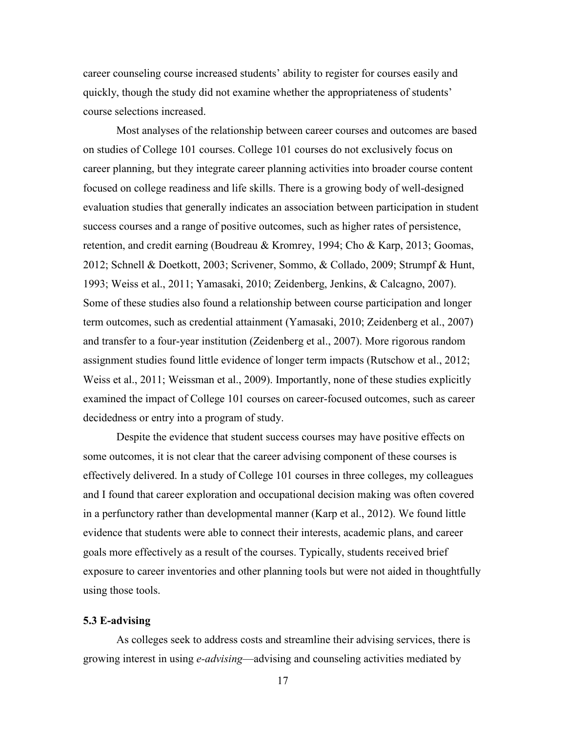career counseling course increased students' ability to register for courses easily and quickly, though the study did not examine whether the appropriateness of students' course selections increased.

Most analyses of the relationship between career courses and outcomes are based on studies of College 101 courses. College 101 courses do not exclusively focus on career planning, but they integrate career planning activities into broader course content focused on college readiness and life skills. There is a growing body of well-designed evaluation studies that generally indicates an association between participation in student success courses and a range of positive outcomes, such as higher rates of persistence, retention, and credit earning (Boudreau & Kromrey, 1994; Cho & Karp, 2013; Goomas, 2012; Schnell & Doetkott, 2003; Scrivener, Sommo, & Collado, 2009; Strumpf & Hunt, 1993; Weiss et al., 2011; Yamasaki, 2010; Zeidenberg, Jenkins, & Calcagno, 2007). Some of these studies also found a relationship between course participation and longer term outcomes, such as credential attainment (Yamasaki, 2010; Zeidenberg et al., 2007) and transfer to a four-year institution (Zeidenberg et al., 2007). More rigorous random assignment studies found little evidence of longer term impacts (Rutschow et al., 2012; Weiss et al., 2011; Weissman et al., 2009). Importantly, none of these studies explicitly examined the impact of College 101 courses on career-focused outcomes, such as career decidedness or entry into a program of study.

Despite the evidence that student success courses may have positive effects on some outcomes, it is not clear that the career advising component of these courses is effectively delivered. In a study of College 101 courses in three colleges, my colleagues and I found that career exploration and occupational decision making was often covered in a perfunctory rather than developmental manner (Karp et al., 2012). We found little evidence that students were able to connect their interests, academic plans, and career goals more effectively as a result of the courses. Typically, students received brief exposure to career inventories and other planning tools but were not aided in thoughtfully using those tools.

#### <span id="page-20-0"></span>**5.3 E-advising**

As colleges seek to address costs and streamline their advising services, there is growing interest in using *e-advising*—advising and counseling activities mediated by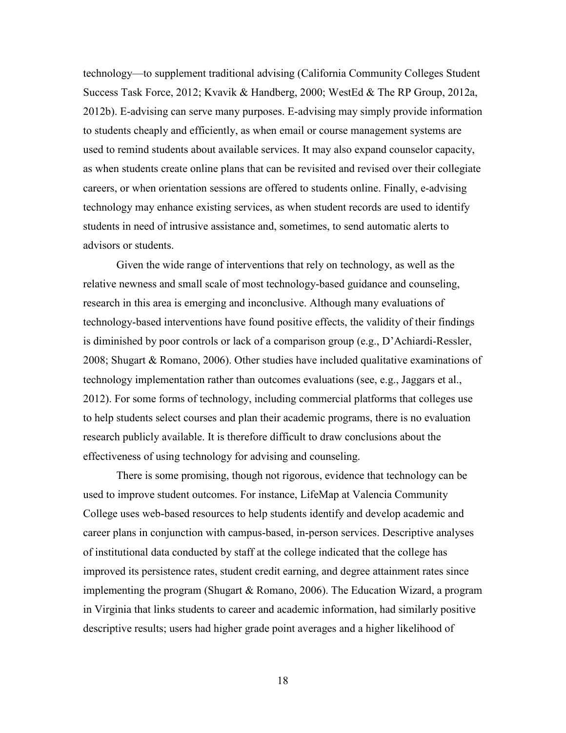technology—to supplement traditional advising (California Community Colleges Student Success Task Force, 2012; Kvavik & Handberg, 2000; WestEd & The RP Group, 2012a, 2012b). E-advising can serve many purposes. E-advising may simply provide information to students cheaply and efficiently, as when email or course management systems are used to remind students about available services. It may also expand counselor capacity, as when students create online plans that can be revisited and revised over their collegiate careers, or when orientation sessions are offered to students online. Finally, e-advising technology may enhance existing services, as when student records are used to identify students in need of intrusive assistance and, sometimes, to send automatic alerts to advisors or students.

Given the wide range of interventions that rely on technology, as well as the relative newness and small scale of most technology-based guidance and counseling, research in this area is emerging and inconclusive. Although many evaluations of technology-based interventions have found positive effects, the validity of their findings is diminished by poor controls or lack of a comparison group (e.g., D'Achiardi-Ressler, 2008; Shugart & Romano, 2006). Other studies have included qualitative examinations of technology implementation rather than outcomes evaluations (see, e.g., Jaggars et al., 2012). For some forms of technology, including commercial platforms that colleges use to help students select courses and plan their academic programs, there is no evaluation research publicly available. It is therefore difficult to draw conclusions about the effectiveness of using technology for advising and counseling.

There is some promising, though not rigorous, evidence that technology can be used to improve student outcomes. For instance, LifeMap at Valencia Community College uses web-based resources to help students identify and develop academic and career plans in conjunction with campus-based, in-person services. Descriptive analyses of institutional data conducted by staff at the college indicated that the college has improved its persistence rates, student credit earning, and degree attainment rates since implementing the program (Shugart & Romano, 2006). The Education Wizard, a program in Virginia that links students to career and academic information, had similarly positive descriptive results; users had higher grade point averages and a higher likelihood of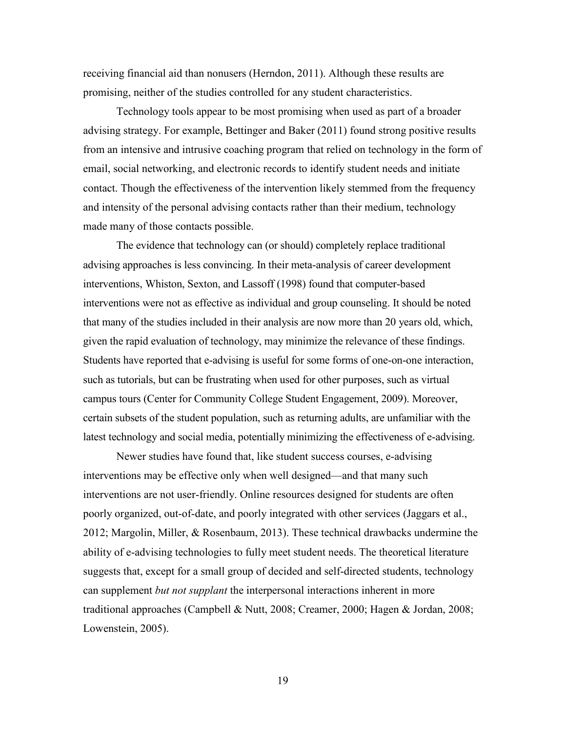receiving financial aid than nonusers (Herndon, 2011). Although these results are promising, neither of the studies controlled for any student characteristics.

Technology tools appear to be most promising when used as part of a broader advising strategy. For example, Bettinger and Baker (2011) found strong positive results from an intensive and intrusive coaching program that relied on technology in the form of email, social networking, and electronic records to identify student needs and initiate contact. Though the effectiveness of the intervention likely stemmed from the frequency and intensity of the personal advising contacts rather than their medium, technology made many of those contacts possible.

The evidence that technology can (or should) completely replace traditional advising approaches is less convincing. In their meta-analysis of career development interventions, Whiston, Sexton, and Lassoff (1998) found that computer-based interventions were not as effective as individual and group counseling. It should be noted that many of the studies included in their analysis are now more than 20 years old, which, given the rapid evaluation of technology, may minimize the relevance of these findings. Students have reported that e-advising is useful for some forms of one-on-one interaction, such as tutorials, but can be frustrating when used for other purposes, such as virtual campus tours (Center for Community College Student Engagement, 2009). Moreover, certain subsets of the student population, such as returning adults, are unfamiliar with the latest technology and social media, potentially minimizing the effectiveness of e-advising.

Newer studies have found that, like student success courses, e-advising interventions may be effective only when well designed—and that many such interventions are not user-friendly. Online resources designed for students are often poorly organized, out-of-date, and poorly integrated with other services (Jaggars et al., 2012; Margolin, Miller, & Rosenbaum, 2013). These technical drawbacks undermine the ability of e-advising technologies to fully meet student needs. The theoretical literature suggests that, except for a small group of decided and self-directed students, technology can supplement *but not supplant* the interpersonal interactions inherent in more traditional approaches (Campbell & Nutt, 2008; Creamer, 2000; Hagen & Jordan, 2008; Lowenstein, 2005).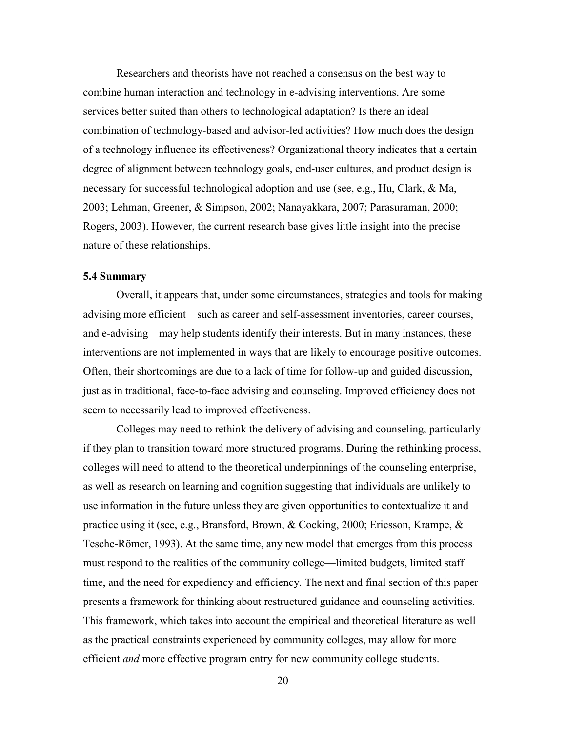Researchers and theorists have not reached a consensus on the best way to combine human interaction and technology in e-advising interventions. Are some services better suited than others to technological adaptation? Is there an ideal combination of technology-based and advisor-led activities? How much does the design of a technology influence its effectiveness? Organizational theory indicates that a certain degree of alignment between technology goals, end-user cultures, and product design is necessary for successful technological adoption and use (see, e.g., Hu, Clark, & Ma, 2003; Lehman, Greener, & Simpson, 2002; Nanayakkara, 2007; Parasuraman, 2000; Rogers, 2003). However, the current research base gives little insight into the precise nature of these relationships.

#### <span id="page-23-0"></span>**5.4 Summary**

Overall, it appears that, under some circumstances, strategies and tools for making advising more efficient—such as career and self-assessment inventories, career courses, and e-advising—may help students identify their interests. But in many instances, these interventions are not implemented in ways that are likely to encourage positive outcomes. Often, their shortcomings are due to a lack of time for follow-up and guided discussion, just as in traditional, face-to-face advising and counseling. Improved efficiency does not seem to necessarily lead to improved effectiveness.

Colleges may need to rethink the delivery of advising and counseling, particularly if they plan to transition toward more structured programs. During the rethinking process, colleges will need to attend to the theoretical underpinnings of the counseling enterprise, as well as research on learning and cognition suggesting that individuals are unlikely to use information in the future unless they are given opportunities to contextualize it and practice using it (see, e.g., Bransford, Brown, & Cocking, 2000; Ericsson, Krampe, & Tesche-Römer, 1993). At the same time, any new model that emerges from this process must respond to the realities of the community college—limited budgets, limited staff time, and the need for expediency and efficiency. The next and final section of this paper presents a framework for thinking about restructured guidance and counseling activities. This framework, which takes into account the empirical and theoretical literature as well as the practical constraints experienced by community colleges, may allow for more efficient *and* more effective program entry for new community college students.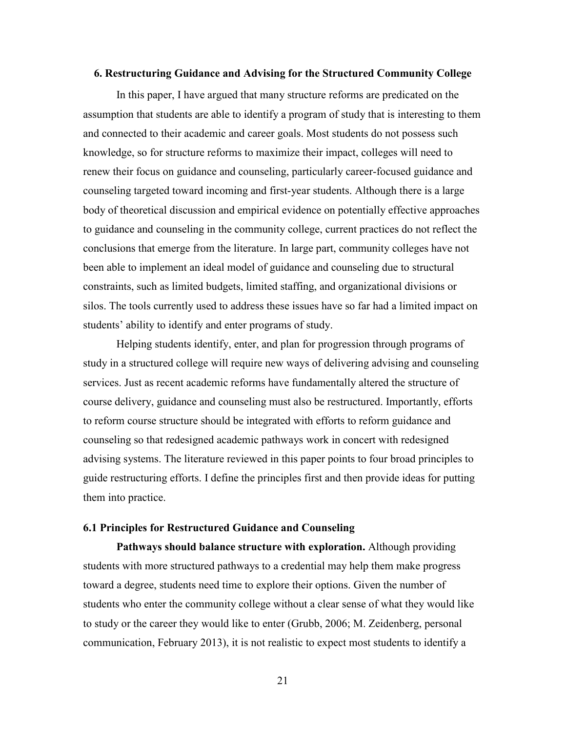#### <span id="page-24-0"></span>**6. Restructuring Guidance and Advising for the Structured Community College**

In this paper, I have argued that many structure reforms are predicated on the assumption that students are able to identify a program of study that is interesting to them and connected to their academic and career goals. Most students do not possess such knowledge, so for structure reforms to maximize their impact, colleges will need to renew their focus on guidance and counseling, particularly career-focused guidance and counseling targeted toward incoming and first-year students. Although there is a large body of theoretical discussion and empirical evidence on potentially effective approaches to guidance and counseling in the community college, current practices do not reflect the conclusions that emerge from the literature. In large part, community colleges have not been able to implement an ideal model of guidance and counseling due to structural constraints, such as limited budgets, limited staffing, and organizational divisions or silos. The tools currently used to address these issues have so far had a limited impact on students' ability to identify and enter programs of study.

Helping students identify, enter, and plan for progression through programs of study in a structured college will require new ways of delivering advising and counseling services. Just as recent academic reforms have fundamentally altered the structure of course delivery, guidance and counseling must also be restructured. Importantly, efforts to reform course structure should be integrated with efforts to reform guidance and counseling so that redesigned academic pathways work in concert with redesigned advising systems. The literature reviewed in this paper points to four broad principles to guide restructuring efforts. I define the principles first and then provide ideas for putting them into practice.

#### <span id="page-24-1"></span>**6.1 Principles for Restructured Guidance and Counseling**

**Pathways should balance structure with exploration.** Although providing students with more structured pathways to a credential may help them make progress toward a degree, students need time to explore their options. Given the number of students who enter the community college without a clear sense of what they would like to study or the career they would like to enter (Grubb, 2006; M. Zeidenberg, personal communication, February 2013), it is not realistic to expect most students to identify a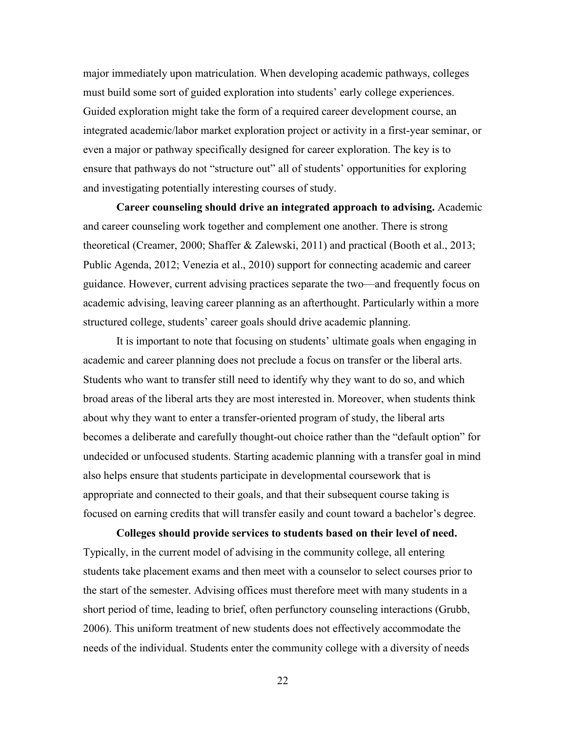major immediately upon matriculation. When developing academic pathways, colleges must build some sort of guided exploration into students' early college experiences. Guided exploration might take the form of a required career development course, an integrated academic/labor market exploration project or activity in a first-year seminar, or even a major or pathway specifically designed for career exploration. The key is to ensure that pathways do not "structure out" all of students' opportunities for exploring and investigating potentially interesting courses of study.

**Career counseling should drive an integrated approach to advising.** Academic and career counseling work together and complement one another. There is strong theoretical (Creamer, 2000; Shaffer & Zalewski, 2011) and practical (Booth et al., 2013; Public Agenda, 2012; Venezia et al., 2010) support for connecting academic and career guidance. However, current advising practices separate the two—and frequently focus on academic advising, leaving career planning as an afterthought. Particularly within a more structured college, students' career goals should drive academic planning.

It is important to note that focusing on students' ultimate goals when engaging in academic and career planning does not preclude a focus on transfer or the liberal arts. Students who want to transfer still need to identify why they want to do so, and which broad areas of the liberal arts they are most interested in. Moreover, when students think about why they want to enter a transfer-oriented program of study, the liberal arts becomes a deliberate and carefully thought-out choice rather than the "default option" for undecided or unfocused students. Starting academic planning with a transfer goal in mind also helps ensure that students participate in developmental coursework that is appropriate and connected to their goals, and that their subsequent course taking is focused on earning credits that will transfer easily and count toward a bachelor's degree.

**Colleges should provide services to students based on their level of need.**  Typically, in the current model of advising in the community college, all entering students take placement exams and then meet with a counselor to select courses prior to the start of the semester. Advising offices must therefore meet with many students in a short period of time, leading to brief, often perfunctory counseling interactions (Grubb, 2006). This uniform treatment of new students does not effectively accommodate the needs of the individual. Students enter the community college with a diversity of needs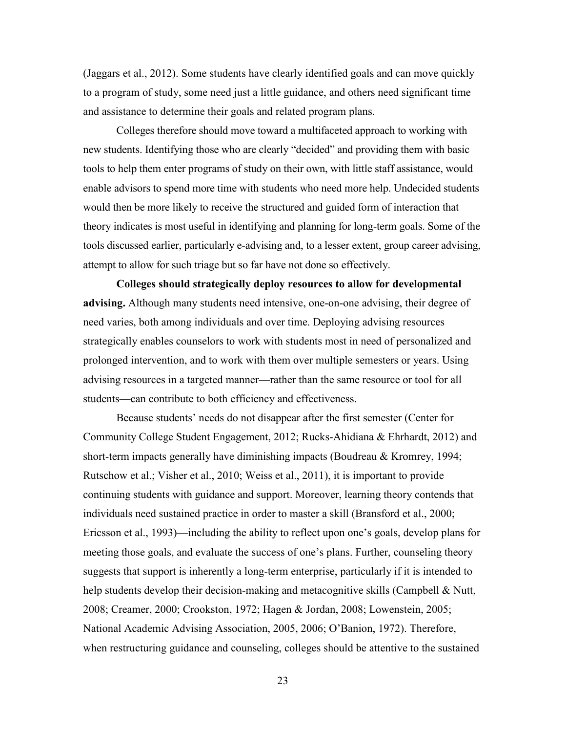(Jaggars et al., 2012). Some students have clearly identified goals and can move quickly to a program of study, some need just a little guidance, and others need significant time and assistance to determine their goals and related program plans.

Colleges therefore should move toward a multifaceted approach to working with new students. Identifying those who are clearly "decided" and providing them with basic tools to help them enter programs of study on their own, with little staff assistance, would enable advisors to spend more time with students who need more help. Undecided students would then be more likely to receive the structured and guided form of interaction that theory indicates is most useful in identifying and planning for long-term goals. Some of the tools discussed earlier, particularly e-advising and, to a lesser extent, group career advising, attempt to allow for such triage but so far have not done so effectively.

**Colleges should strategically deploy resources to allow for developmental advising.** Although many students need intensive, one-on-one advising, their degree of need varies, both among individuals and over time. Deploying advising resources strategically enables counselors to work with students most in need of personalized and prolonged intervention, and to work with them over multiple semesters or years. Using advising resources in a targeted manner—rather than the same resource or tool for all students—can contribute to both efficiency and effectiveness.

Because students' needs do not disappear after the first semester (Center for Community College Student Engagement, 2012; Rucks-Ahidiana & Ehrhardt, 2012) and short-term impacts generally have diminishing impacts (Boudreau & Kromrey, 1994; Rutschow et al.; Visher et al., 2010; Weiss et al., 2011), it is important to provide continuing students with guidance and support. Moreover, learning theory contends that individuals need sustained practice in order to master a skill (Bransford et al., 2000; Ericsson et al., 1993)—including the ability to reflect upon one's goals, develop plans for meeting those goals, and evaluate the success of one's plans. Further, counseling theory suggests that support is inherently a long-term enterprise, particularly if it is intended to help students develop their decision-making and metacognitive skills (Campbell & Nutt, 2008; Creamer, 2000; Crookston, 1972; Hagen & Jordan, 2008; Lowenstein, 2005; National Academic Advising Association, 2005, 2006; O'Banion, 1972). Therefore, when restructuring guidance and counseling, colleges should be attentive to the sustained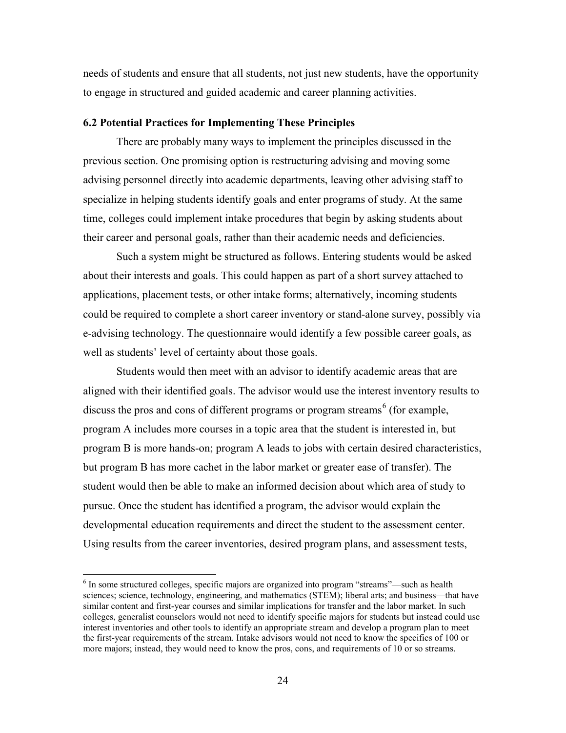needs of students and ensure that all students, not just new students, have the opportunity to engage in structured and guided academic and career planning activities.

#### <span id="page-27-0"></span>**6.2 Potential Practices for Implementing These Principles**

There are probably many ways to implement the principles discussed in the previous section. One promising option is restructuring advising and moving some advising personnel directly into academic departments, leaving other advising staff to specialize in helping students identify goals and enter programs of study. At the same time, colleges could implement intake procedures that begin by asking students about their career and personal goals, rather than their academic needs and deficiencies.

Such a system might be structured as follows. Entering students would be asked about their interests and goals. This could happen as part of a short survey attached to applications, placement tests, or other intake forms; alternatively, incoming students could be required to complete a short career inventory or stand-alone survey, possibly via e-advising technology. The questionnaire would identify a few possible career goals, as well as students' level of certainty about those goals.

Students would then meet with an advisor to identify academic areas that are aligned with their identified goals. The advisor would use the interest inventory results to discuss the pros and cons of different programs or program streams<sup> $6$ </sup> (for example, program A includes more courses in a topic area that the student is interested in, but program B is more hands-on; program A leads to jobs with certain desired characteristics, but program B has more cachet in the labor market or greater ease of transfer). The student would then be able to make an informed decision about which area of study to pursue. Once the student has identified a program, the advisor would explain the developmental education requirements and direct the student to the assessment center. Using results from the career inventories, desired program plans, and assessment tests,

<span id="page-27-1"></span><sup>6</sup> In some structured colleges, specific majors are organized into program "streams"—such as health sciences; science, technology, engineering, and mathematics (STEM); liberal arts; and business—that have similar content and first-year courses and similar implications for transfer and the labor market. In such colleges, generalist counselors would not need to identify specific majors for students but instead could use interest inventories and other tools to identify an appropriate stream and develop a program plan to meet the first-year requirements of the stream. Intake advisors would not need to know the specifics of 100 or more majors; instead, they would need to know the pros, cons, and requirements of 10 or so streams.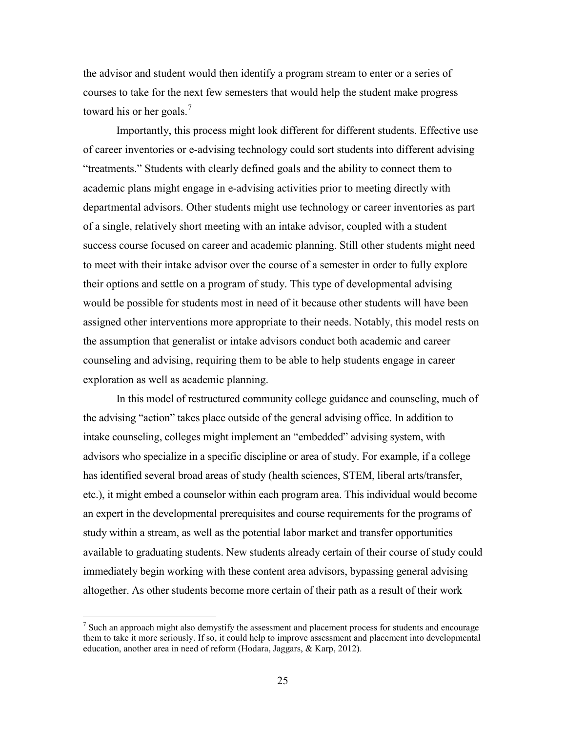the advisor and student would then identify a program stream to enter or a series of courses to take for the next few semesters that would help the student make progress toward his or her goals.<sup>[7](#page-28-0)</sup>

Importantly, this process might look different for different students. Effective use of career inventories or e-advising technology could sort students into different advising "treatments." Students with clearly defined goals and the ability to connect them to academic plans might engage in e-advising activities prior to meeting directly with departmental advisors. Other students might use technology or career inventories as part of a single, relatively short meeting with an intake advisor, coupled with a student success course focused on career and academic planning. Still other students might need to meet with their intake advisor over the course of a semester in order to fully explore their options and settle on a program of study. This type of developmental advising would be possible for students most in need of it because other students will have been assigned other interventions more appropriate to their needs. Notably, this model rests on the assumption that generalist or intake advisors conduct both academic and career counseling and advising, requiring them to be able to help students engage in career exploration as well as academic planning.

In this model of restructured community college guidance and counseling, much of the advising "action" takes place outside of the general advising office. In addition to intake counseling, colleges might implement an "embedded" advising system, with advisors who specialize in a specific discipline or area of study. For example, if a college has identified several broad areas of study (health sciences, STEM, liberal arts/transfer, etc.), it might embed a counselor within each program area. This individual would become an expert in the developmental prerequisites and course requirements for the programs of study within a stream, as well as the potential labor market and transfer opportunities available to graduating students. New students already certain of their course of study could immediately begin working with these content area advisors, bypassing general advising altogether. As other students become more certain of their path as a result of their work

<span id="page-28-0"></span><sup>&</sup>lt;sup>7</sup> Such an approach might also demystify the assessment and placement process for students and encourage them to take it more seriously. If so, it could help to improve assessment and placement into developmental education, another area in need of reform (Hodara, Jaggars, & Karp, 2012).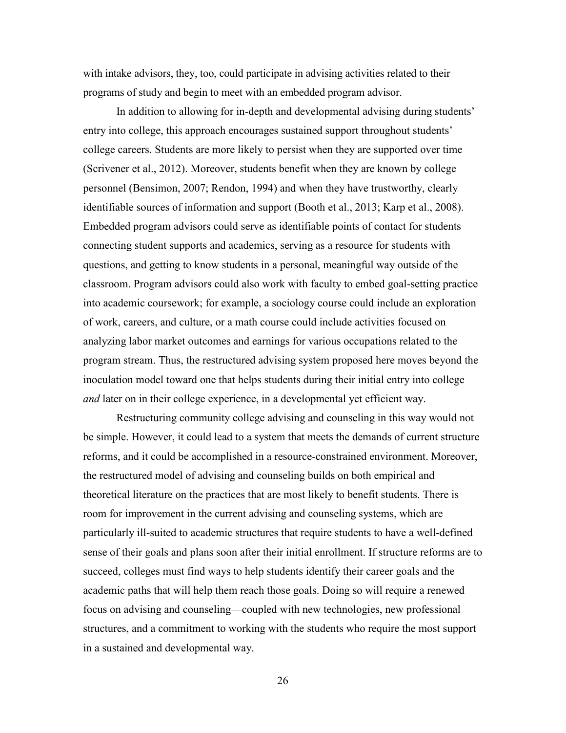with intake advisors, they, too, could participate in advising activities related to their programs of study and begin to meet with an embedded program advisor.

In addition to allowing for in-depth and developmental advising during students' entry into college, this approach encourages sustained support throughout students' college careers. Students are more likely to persist when they are supported over time (Scrivener et al., 2012). Moreover, students benefit when they are known by college personnel (Bensimon, 2007; Rendon, 1994) and when they have trustworthy, clearly identifiable sources of information and support (Booth et al., 2013; Karp et al., 2008). Embedded program advisors could serve as identifiable points of contact for students connecting student supports and academics, serving as a resource for students with questions, and getting to know students in a personal, meaningful way outside of the classroom. Program advisors could also work with faculty to embed goal-setting practice into academic coursework; for example, a sociology course could include an exploration of work, careers, and culture, or a math course could include activities focused on analyzing labor market outcomes and earnings for various occupations related to the program stream. Thus, the restructured advising system proposed here moves beyond the inoculation model toward one that helps students during their initial entry into college *and* later on in their college experience, in a developmental yet efficient way.

Restructuring community college advising and counseling in this way would not be simple. However, it could lead to a system that meets the demands of current structure reforms, and it could be accomplished in a resource-constrained environment. Moreover, the restructured model of advising and counseling builds on both empirical and theoretical literature on the practices that are most likely to benefit students. There is room for improvement in the current advising and counseling systems, which are particularly ill-suited to academic structures that require students to have a well-defined sense of their goals and plans soon after their initial enrollment. If structure reforms are to succeed, colleges must find ways to help students identify their career goals and the academic paths that will help them reach those goals. Doing so will require a renewed focus on advising and counseling—coupled with new technologies, new professional structures, and a commitment to working with the students who require the most support in a sustained and developmental way.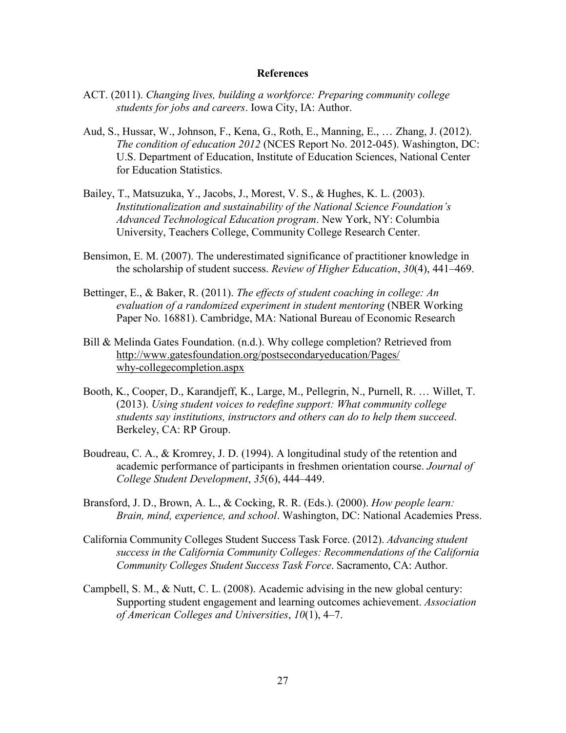#### **References**

- <span id="page-30-0"></span>ACT. (2011). *Changing lives, building a workforce: Preparing community college students for jobs and careers*. Iowa City, IA: Author.
- Aud, S., Hussar, W., Johnson, F., Kena, G., Roth, E., Manning, E., … Zhang, J. (2012). *The condition of education 2012* (NCES Report No. 2012-045). Washington, DC: U.S. Department of Education, Institute of Education Sciences, National Center for Education Statistics.
- Bailey, T., Matsuzuka, Y., Jacobs, J., Morest, V. S., & Hughes, K. L. (2003). *Institutionalization and sustainability of the National Science Foundation's Advanced Technological Education program*. New York, NY: Columbia University, Teachers College, Community College Research Center.
- Bensimon, E. M. (2007). The underestimated significance of practitioner knowledge in the scholarship of student success. *Review of Higher Education*, *30*(4), 441–469.
- Bettinger, E., & Baker, R. (2011). *The effects of student coaching in college: An evaluation of a randomized experiment in student mentoring* (NBER Working Paper No. 16881). Cambridge, MA: National Bureau of Economic Research
- Bill & Melinda Gates Foundation. (n.d.). Why college completion? Retrieved from [http://www.gatesfoundation.org/postsecondaryeducation/Pages/](http://www.gatesfoundation.org/postsecondaryeducation/Pages/why-collegecompletion.aspx) [why-collegecompletion.aspx](http://www.gatesfoundation.org/postsecondaryeducation/Pages/why-collegecompletion.aspx)
- Booth, K., Cooper, D., Karandjeff, K., Large, M., Pellegrin, N., Purnell, R. … Willet, T. (2013). *Using student voices to redefine support: What community college students say institutions, instructors and others can do to help them succeed*. Berkeley, CA: RP Group.
- Boudreau, C. A., & Kromrey, J. D. (1994). A longitudinal study of the retention and academic performance of participants in freshmen orientation course. *Journal of College Student Development*, *35*(6), 444–449.
- Bransford, J. D., Brown, A. L., & Cocking, R. R. (Eds.). (2000). *How people learn: Brain, mind, experience, and school*. Washington, DC: National Academies Press.
- California Community Colleges Student Success Task Force. (2012). *Advancing student success in the California Community Colleges: Recommendations of the California Community Colleges Student Success Task Force*. Sacramento, CA: Author.
- Campbell, S. M., & Nutt, C. L. (2008). Academic advising in the new global century: Supporting student engagement and learning outcomes achievement. *Association of American Colleges and Universities*, *10*(1), 4–7.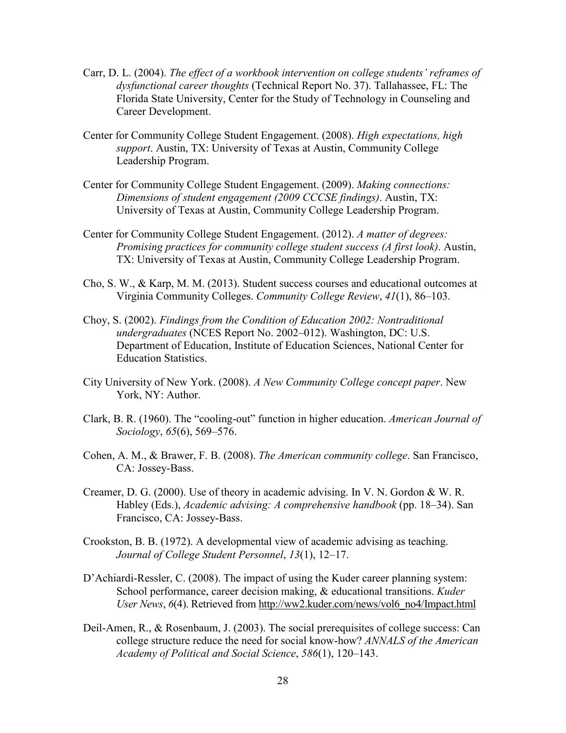- Carr, D. L. (2004). *The effect of a workbook intervention on college students' reframes of dysfunctional career thoughts* (Technical Report No. 37). Tallahassee, FL: The Florida State University, Center for the Study of Technology in Counseling and Career Development.
- Center for Community College Student Engagement. (2008). *High expectations, high support*. Austin, TX: University of Texas at Austin, Community College Leadership Program.
- Center for Community College Student Engagement. (2009). *Making connections: Dimensions of student engagement (2009 CCCSE findings)*. Austin, TX: University of Texas at Austin, Community College Leadership Program.
- Center for Community College Student Engagement. (2012). *A matter of degrees: Promising practices for community college student success (A first look)*. Austin, TX: University of Texas at Austin, Community College Leadership Program.
- Cho, S. W., & Karp, M. M. (2013). Student success courses and educational outcomes at Virginia Community Colleges. *Community College Review*, *41*(1), 86–103.
- Choy, S. (2002). *Findings from the Condition of Education 2002: Nontraditional undergraduates* (NCES Report No. 2002–012). Washington, DC: U.S. Department of Education, Institute of Education Sciences, National Center for Education Statistics.
- City University of New York. (2008). *A New Community College concept paper*. New York, NY: Author.
- Clark, B. R. (1960). The "cooling-out" function in higher education. *American Journal of Sociology*, *65*(6), 569–576.
- Cohen, A. M., & Brawer, F. B. (2008). *The American community college*. San Francisco, CA: Jossey-Bass.
- Creamer, D. G. (2000). Use of theory in academic advising. In V. N. Gordon & W. R. Habley (Eds.), *Academic advising: A comprehensive handbook* (pp. 18–34). San Francisco, CA: Jossey-Bass.
- Crookston, B. B. (1972). A developmental view of academic advising as teaching. *Journal of College Student Personnel*, *13*(1), 12–17.
- D'Achiardi-Ressler, C. (2008). The impact of using the Kuder career planning system: School performance, career decision making, & educational transitions. *Kuder User News*, *6*(4). Retrieved from [http://ww2.kuder.com/news/vol6\\_no4/Impact.html](http://ww2.kuder.com/news/vol6_no4/Impact.html)
- Deil-Amen, R., & Rosenbaum, J. (2003). The social prerequisites of college success: Can college structure reduce the need for social know-how? *ANNALS of the American Academy of Political and Social Science*, *586*(1), 120–143.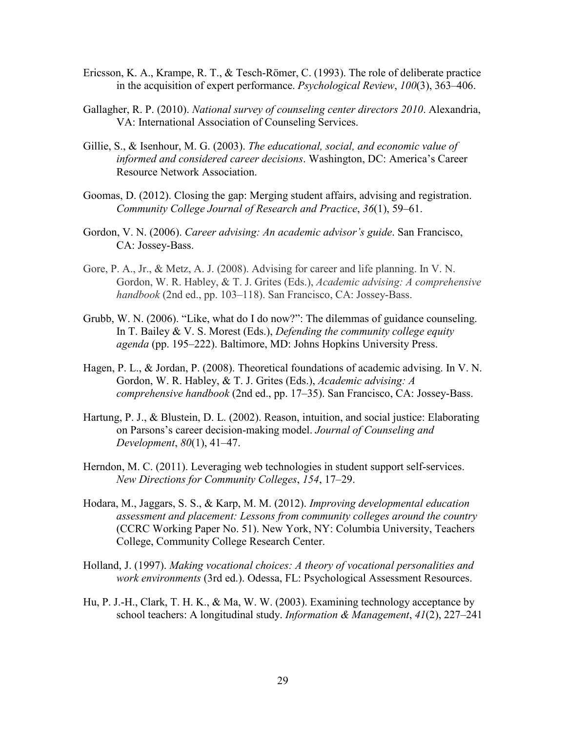- Ericsson, K. A., Krampe, R. T., & Tesch-Römer, C. (1993). The role of deliberate practice in the acquisition of expert performance. *Psychological Review*, *100*(3), 363–406.
- Gallagher, R. P. (2010). *National survey of counseling center directors 2010*. Alexandria, VA: International Association of Counseling Services.
- Gillie, S., & Isenhour, M. G. (2003). *The educational, social, and economic value of informed and considered career decisions*. Washington, DC: America's Career Resource Network Association.
- Goomas, D. (2012). Closing the gap: Merging student affairs, advising and registration. *Community College Journal of Research and Practice*, *36*(1), 59–61.
- Gordon, V. N. (2006). *Career advising: An academic advisor's guide*. San Francisco, CA: Jossey-Bass.
- Gore, P. A., Jr., & Metz, A. J. (2008). Advising for career and life planning. In V. N. Gordon, W. R. Habley, & T. J. Grites (Eds.), *Academic advising: A comprehensive handbook* (2nd ed., pp. 103–118). San Francisco, CA: Jossey-Bass.
- Grubb, W. N. (2006). "Like, what do I do now?": The dilemmas of guidance counseling. In T. Bailey & V. S. Morest (Eds.), *Defending the community college equity agenda* (pp. 195–222). Baltimore, MD: Johns Hopkins University Press.
- Hagen, P. L., & Jordan, P. (2008). Theoretical foundations of academic advising. In V. N. Gordon, W. R. Habley, & T. J. Grites (Eds.), *Academic advising: A comprehensive handbook* (2nd ed., pp. 17–35). San Francisco, CA: Jossey-Bass.
- Hartung, P. J., & Blustein, D. L. (2002). Reason, intuition, and social justice: Elaborating on Parsons's career decision-making model. *Journal of Counseling and Development*, *80*(1), 41–47.
- Herndon, M. C. (2011). Leveraging web technologies in student support self-services. *New Directions for Community Colleges*, *154*, 17–29.
- Hodara, M., Jaggars, S. S., & Karp, M. M. (2012). *Improving developmental education assessment and placement: Lessons from community colleges around the country* (CCRC Working Paper No. 51). New York, NY: Columbia University, Teachers College, Community College Research Center.
- Holland, J. (1997). *Making vocational choices: A theory of vocational personalities and work environments* (3rd ed.). Odessa, FL: Psychological Assessment Resources.
- Hu, P. J.-H., Clark, T. H. K., & Ma, W. W. (2003). Examining technology acceptance by school teachers: A longitudinal study. *Information & Management*, *41*(2), 227–241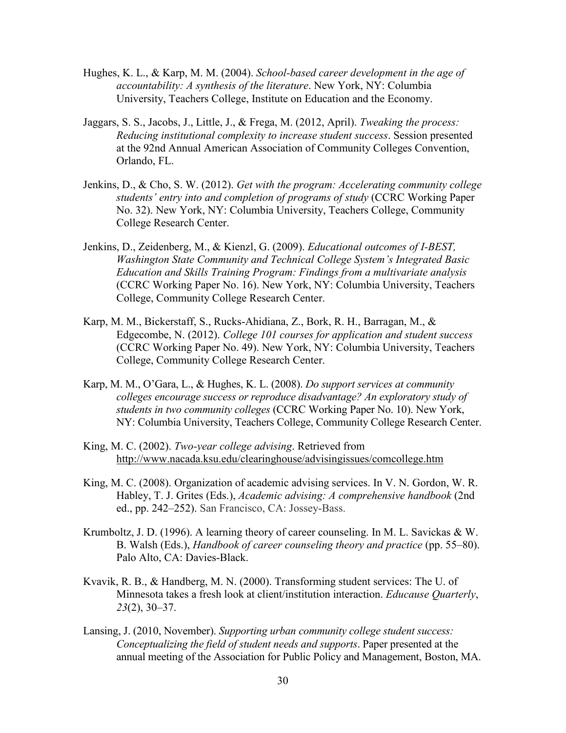- Hughes, K. L., & Karp, M. M. (2004). *School-based career development in the age of accountability: A synthesis of the literature*. New York, NY: Columbia University, Teachers College, Institute on Education and the Economy.
- Jaggars, S. S., Jacobs, J., Little, J., & Frega, M. (2012, April). *Tweaking the process: Reducing institutional complexity to increase student success*. Session presented at the 92nd Annual American Association of Community Colleges Convention, Orlando, FL.
- Jenkins, D., & Cho, S. W. (2012). *Get with the program: Accelerating community college students' entry into and completion of programs of study* (CCRC Working Paper No. 32). New York, NY: Columbia University, Teachers College, Community College Research Center.
- Jenkins, D., Zeidenberg, M., & Kienzl, G. (2009). *Educational outcomes of I-BEST, Washington State Community and Technical College System's Integrated Basic Education and Skills Training Program: Findings from a multivariate analysis* (CCRC Working Paper No. 16). New York, NY: Columbia University, Teachers College, Community College Research Center.
- Karp, M. M., Bickerstaff, S., Rucks-Ahidiana, Z., Bork, R. H., Barragan, M., & Edgecombe, N. (2012). *College 101 courses for application and student success* (CCRC Working Paper No. 49). New York, NY: Columbia University, Teachers College, Community College Research Center.
- Karp, M. M., O'Gara, L., & Hughes, K. L. (2008). *Do support services at community colleges encourage success or reproduce disadvantage? An exploratory study of students in two community colleges* (CCRC Working Paper No. 10). New York, NY: Columbia University, Teachers College, Community College Research Center.
- King, M. C. (2002). *Two-year college advising*. Retrieved from <http://www.nacada.ksu.edu/clearinghouse/advisingissues/comcollege.htm>
- King, M. C. (2008). Organization of academic advising services. In V. N. Gordon, W. R. Habley, T. J. Grites (Eds.), *Academic advising: A comprehensive handbook* (2nd ed., pp. 242–252). San Francisco, CA: Jossey-Bass.
- Krumboltz, J. D. (1996). A learning theory of career counseling. In M. L. Savickas  $\& W$ . B. Walsh (Eds.), *Handbook of career counseling theory and practice* (pp. 55–80). Palo Alto, CA: Davies-Black.
- Kvavik, R. B., & Handberg, M. N. (2000). Transforming student services: The U. of Minnesota takes a fresh look at client/institution interaction. *Educause Quarterly*, *23*(2), 30–37.
- Lansing, J. (2010, November). *Supporting urban community college student success: Conceptualizing the field of student needs and supports*. Paper presented at the annual meeting of the Association for Public Policy and Management, Boston, MA.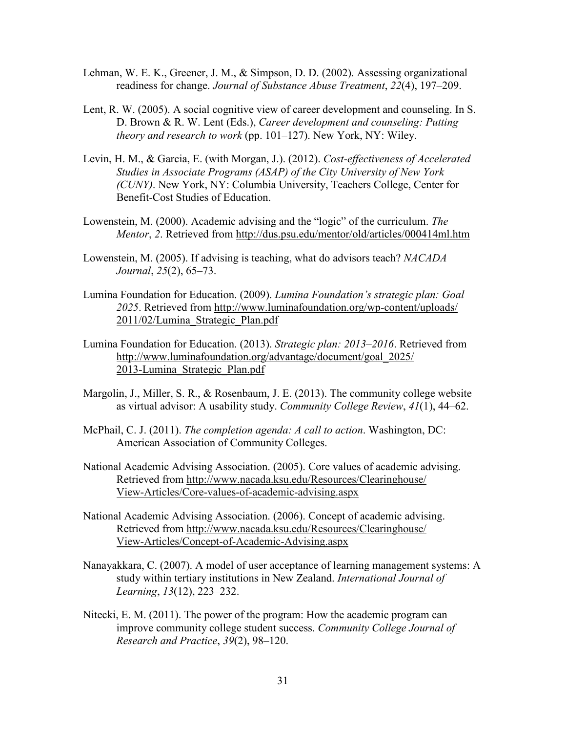- Lehman, W. E. K., Greener, J. M., & Simpson, D. D. (2002). Assessing organizational readiness for change. *Journal of Substance Abuse Treatment*, *22*(4), 197–209.
- Lent, R. W. (2005). A social cognitive view of career development and counseling. In S. D. Brown & R. W. Lent (Eds.), *Career development and counseling: Putting theory and research to work* (pp. 101–127). New York, NY: Wiley.
- Levin, H. M., & Garcia, E. (with Morgan, J.). (2012). *Cost-effectiveness of Accelerated Studies in Associate Programs (ASAP) of the City University of New York (CUNY)*. New York, NY: Columbia University, Teachers College, Center for Benefit-Cost Studies of Education.
- Lowenstein, M. (2000). Academic advising and the "logic" of the curriculum. *The Mentor*, *2*. Retrieved from<http://dus.psu.edu/mentor/old/articles/000414ml.htm>
- Lowenstein, M. (2005). If advising is teaching, what do advisors teach? *NACADA Journal*, *25*(2), 65–73.
- Lumina Foundation for Education. (2009). *Lumina Foundation's strategic plan: Goal 2025*. Retrieved from [http://www.luminafoundation.org/wp-content/uploads/](http://www.luminafoundation.org/wp-content/uploads/2011/02/Lumina_Strategic_Plan.pdf) [2011/02/Lumina\\_Strategic\\_Plan.pdf](http://www.luminafoundation.org/wp-content/uploads/2011/02/Lumina_Strategic_Plan.pdf)
- Lumina Foundation for Education. (2013). *Strategic plan: 2013–2016*. Retrieved from [http://www.luminafoundation.org/advantage/document/goal\\_2025/](http://www.luminafoundation.org/advantage/document/goal_2025/2013-Lumina_Strategic_Plan.pdf) [2013-Lumina\\_Strategic\\_Plan.pdf](http://www.luminafoundation.org/advantage/document/goal_2025/2013-Lumina_Strategic_Plan.pdf)
- Margolin, J., Miller, S. R., & Rosenbaum, J. E. (2013). The community college website as virtual advisor: A usability study. *Community College Review*, *41*(1), 44–62.
- McPhail, C. J. (2011). *The completion agenda: A call to action*. Washington, DC: American Association of Community Colleges.
- National Academic Advising Association. (2005). Core values of academic advising. Retrieved from [http://www.nacada.ksu.edu/Resources/Clearinghouse/](http://www.nacada.ksu.edu/Resources/Clearinghouse/View-Articles/Core-values-of-academic-advising.aspx) [View-Articles/Core-values-of-academic-advising.aspx](http://www.nacada.ksu.edu/Resources/Clearinghouse/View-Articles/Core-values-of-academic-advising.aspx)
- National Academic Advising Association. (2006). Concept of academic advising. Retrieved from [http://www.nacada.ksu.edu/Resources/Clearinghouse/](http://www.nacada.ksu.edu/Resources/Clearinghouse/View-Articles/Concept-of-Academic-Advising.aspx) [View-Articles/Concept-of-Academic-Advising.aspx](http://www.nacada.ksu.edu/Resources/Clearinghouse/View-Articles/Concept-of-Academic-Advising.aspx)
- Nanayakkara, C. (2007). A model of user acceptance of learning management systems: A study within tertiary institutions in New Zealand. *International Journal of Learning*, *13*(12), 223–232.
- Nitecki, E. M. (2011). The power of the program: How the academic program can improve community college student success. *Community College Journal of Research and Practice*, *39*(2), 98–120.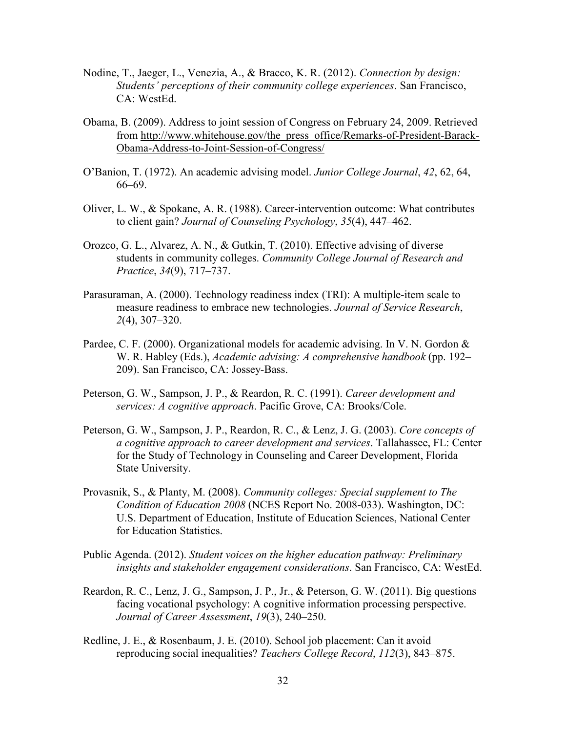- Nodine, T., Jaeger, L., Venezia, A., & Bracco, K. R. (2012). *Connection by design: Students' perceptions of their community college experiences*. San Francisco, CA: WestEd.
- Obama, B. (2009). Address to joint session of Congress on February 24, 2009. Retrieved from [http://www.whitehouse.gov/the\\_press\\_office/Remarks-of-President-Barack-](http://www.whitehouse.gov/the_press_office/Remarks-of-President-Barack-Obama-Address-to-Joint-Session-of-Congress/)[Obama-Address-to-Joint-Session-of-Congress/](http://www.whitehouse.gov/the_press_office/Remarks-of-President-Barack-Obama-Address-to-Joint-Session-of-Congress/)
- O'Banion, T. (1972). An academic advising model. *Junior College Journal*, *42*, 62, 64, 66–69.
- Oliver, L. W., & Spokane, A. R. (1988). Career-intervention outcome: What contributes to client gain? *Journal of Counseling Psychology*, *35*(4), 447–462.
- Orozco, G. L., Alvarez, A. N., & Gutkin, T. (2010). Effective advising of diverse students in community colleges. *Community College Journal of Research and Practice*, *34*(9), 717–737.
- Parasuraman, A. (2000). Technology readiness index (TRI): A multiple-item scale to measure readiness to embrace new technologies. *Journal of Service Research*, *2*(4), 307–320.
- Pardee, C. F. (2000). Organizational models for academic advising. In V. N. Gordon  $\&$ W. R. Habley (Eds.), *Academic advising: A comprehensive handbook* (pp. 192– 209). San Francisco, CA: Jossey-Bass.
- Peterson, G. W., Sampson, J. P., & Reardon, R. C. (1991). *Career development and services: A cognitive approach*. Pacific Grove, CA: Brooks/Cole.
- Peterson, G. W., Sampson, J. P., Reardon, R. C., & Lenz, J. G. (2003). *Core concepts of a cognitive approach to career development and services*. Tallahassee, FL: Center for the Study of Technology in Counseling and Career Development, Florida State University.
- Provasnik, S., & Planty, M. (2008). *Community colleges: Special supplement to The Condition of Education 2008* (NCES Report No. 2008-033). Washington, DC: U.S. Department of Education, Institute of Education Sciences, National Center for Education Statistics.
- Public Agenda. (2012). *Student voices on the higher education pathway: Preliminary insights and stakeholder engagement considerations*. San Francisco, CA: WestEd.
- Reardon, R. C., Lenz, J. G., Sampson, J. P., Jr., & Peterson, G. W. (2011). Big questions facing vocational psychology: A cognitive information processing perspective. *Journal of Career Assessment*, *19*(3), 240–250.
- Redline, J. E., & Rosenbaum, J. E. (2010). School job placement: Can it avoid reproducing social inequalities? *Teachers College Record*, *112*(3), 843–875.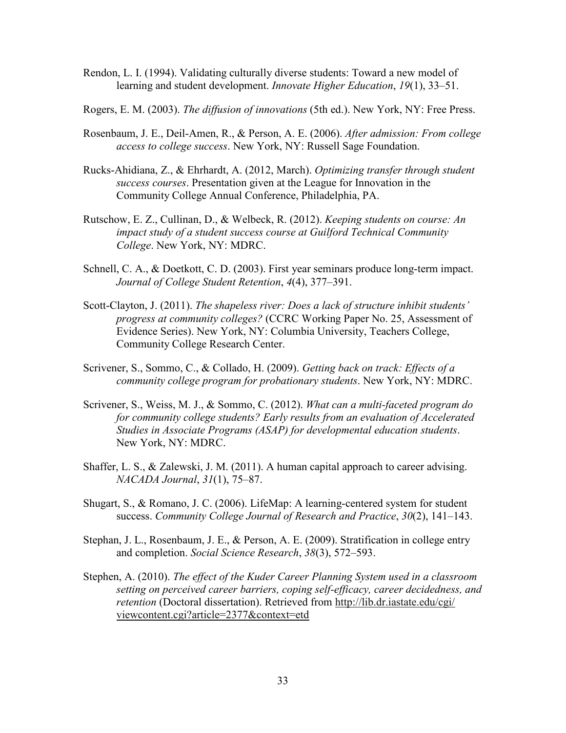- Rendon, L. I. (1994). Validating culturally diverse students: Toward a new model of learning and student development. *Innovate Higher Education*, *19*(1), 33–51.
- Rogers, E. M. (2003). *The diffusion of innovations* (5th ed.). New York, NY: Free Press.
- Rosenbaum, J. E., Deil-Amen, R., & Person, A. E. (2006). *After admission: From college access to college success*. New York, NY: Russell Sage Foundation.
- Rucks-Ahidiana, Z., & Ehrhardt, A. (2012, March). *Optimizing transfer through student success courses*. Presentation given at the League for Innovation in the Community College Annual Conference, Philadelphia, PA.
- Rutschow, E. Z., Cullinan, D., & Welbeck, R. (2012). *Keeping students on course: An impact study of a student success course at Guilford Technical Community College*. New York, NY: MDRC.
- Schnell, C. A., & Doetkott, C. D. (2003). First year seminars produce long-term impact. *Journal of College Student Retention*, *4*(4), 377–391.
- Scott-Clayton, J. (2011). *The shapeless river: Does a lack of structure inhibit students' progress at community colleges?* (CCRC Working Paper No. 25, Assessment of Evidence Series). New York, NY: Columbia University, Teachers College, Community College Research Center.
- Scrivener, S., Sommo, C., & Collado, H. (2009). *Getting back on track: Effects of a community college program for probationary students*. New York, NY: MDRC.
- Scrivener, S., Weiss, M. J., & Sommo, C. (2012). *What can a multi-faceted program do for community college students? Early results from an evaluation of Accelerated Studies in Associate Programs (ASAP) for developmental education students*. New York, NY: MDRC.
- Shaffer, L. S., & Zalewski, J. M. (2011). A human capital approach to career advising. *NACADA Journal*, *31*(1), 75–87.
- Shugart, S., & Romano, J. C. (2006). LifeMap: A learning-centered system for student success. *Community College Journal of Research and Practice*, *30*(2), 141–143.
- Stephan, J. L., Rosenbaum, J. E., & Person, A. E. (2009). Stratification in college entry and completion. *Social Science Research*, *38*(3), 572–593.
- Stephen, A. (2010). *The effect of the Kuder Career Planning System used in a classroom setting on perceived career barriers, coping self-efficacy, career decidedness, and retention* (Doctoral dissertation). Retrieved from [http://lib.dr.iastate.edu/cgi/](http://lib.dr.iastate.edu/cgi/viewcontent.cgi?article=2377&context=etd) [viewcontent.cgi?article=2377&context=etd](http://lib.dr.iastate.edu/cgi/viewcontent.cgi?article=2377&context=etd)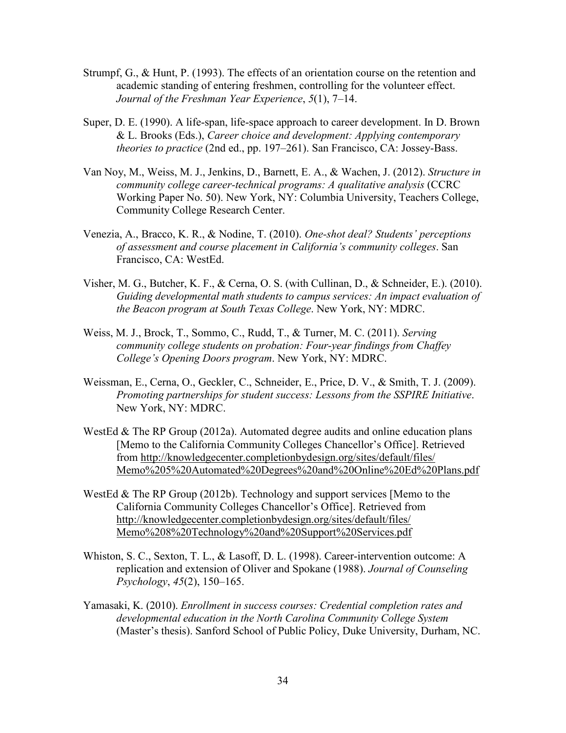- Strumpf, G., & Hunt, P. (1993). The effects of an orientation course on the retention and academic standing of entering freshmen, controlling for the volunteer effect. *Journal of the Freshman Year Experience*, *5*(1), 7–14.
- Super, D. E. (1990). A life-span, life-space approach to career development. In D. Brown & L. Brooks (Eds.), *Career choice and development: Applying contemporary theories to practice* (2nd ed., pp. 197–261). San Francisco, CA: Jossey-Bass.
- Van Noy, M., Weiss, M. J., Jenkins, D., Barnett, E. A., & Wachen, J. (2012). *Structure in community college career-technical programs: A qualitative analysis* (CCRC Working Paper No. 50). New York, NY: Columbia University, Teachers College, Community College Research Center.
- Venezia, A., Bracco, K. R., & Nodine, T. (2010). *One-shot deal? Students' perceptions of assessment and course placement in California's community colleges*. San Francisco, CA: WestEd.
- Visher, M. G., Butcher, K. F., & Cerna, O. S. (with Cullinan, D., & Schneider, E.). (2010). *Guiding developmental math students to campus services: An impact evaluation of the Beacon program at South Texas College*. New York, NY: MDRC.
- Weiss, M. J., Brock, T., Sommo, C., Rudd, T., & Turner, M. C. (2011). *Serving community college students on probation: Four-year findings from Chaffey College's Opening Doors program*. New York, NY: MDRC.
- Weissman, E., Cerna, O., Geckler, C., Schneider, E., Price, D. V., & Smith, T. J. (2009). *Promoting partnerships for student success: Lessons from the SSPIRE Initiative*. New York, NY: MDRC.
- WestEd  $\&$  The RP Group (2012a). Automated degree audits and online education plans [Memo to the California Community Colleges Chancellor's Office]. Retrieved from [http://knowledgecenter.completionbydesign.org/sites/default/files/](http://knowledgecenter.completionbydesign.org/sites/default/files/Memo%205%20Automated%20Degrees%20and%20Online%20Ed%20Plans.pdf) [Memo%205%20Automated%20Degrees%20and%20Online%20Ed%20Plans.pdf](http://knowledgecenter.completionbydesign.org/sites/default/files/Memo%205%20Automated%20Degrees%20and%20Online%20Ed%20Plans.pdf)
- WestEd & The RP Group (2012b). Technology and support services [Memo to the California Community Colleges Chancellor's Office]. Retrieved from [http://knowledgecenter.completionbydesign.org/sites/default/files/](http://knowledgecenter.completionbydesign.org/sites/default/files/Memo%208%20Technology%20and%20Support%20Services.pdf) [Memo%208%20Technology%20and%20Support%20Services.pdf](http://knowledgecenter.completionbydesign.org/sites/default/files/Memo%208%20Technology%20and%20Support%20Services.pdf)
- Whiston, S. C., Sexton, T. L., & Lasoff, D. L. (1998). Career-intervention outcome: A replication and extension of Oliver and Spokane (1988). *Journal of Counseling Psychology*, *45*(2), 150–165.
- Yamasaki, K. (2010). *Enrollment in success courses: Credential completion rates and developmental education in the North Carolina Community College System* (Master's thesis). Sanford School of Public Policy, Duke University, Durham, NC.